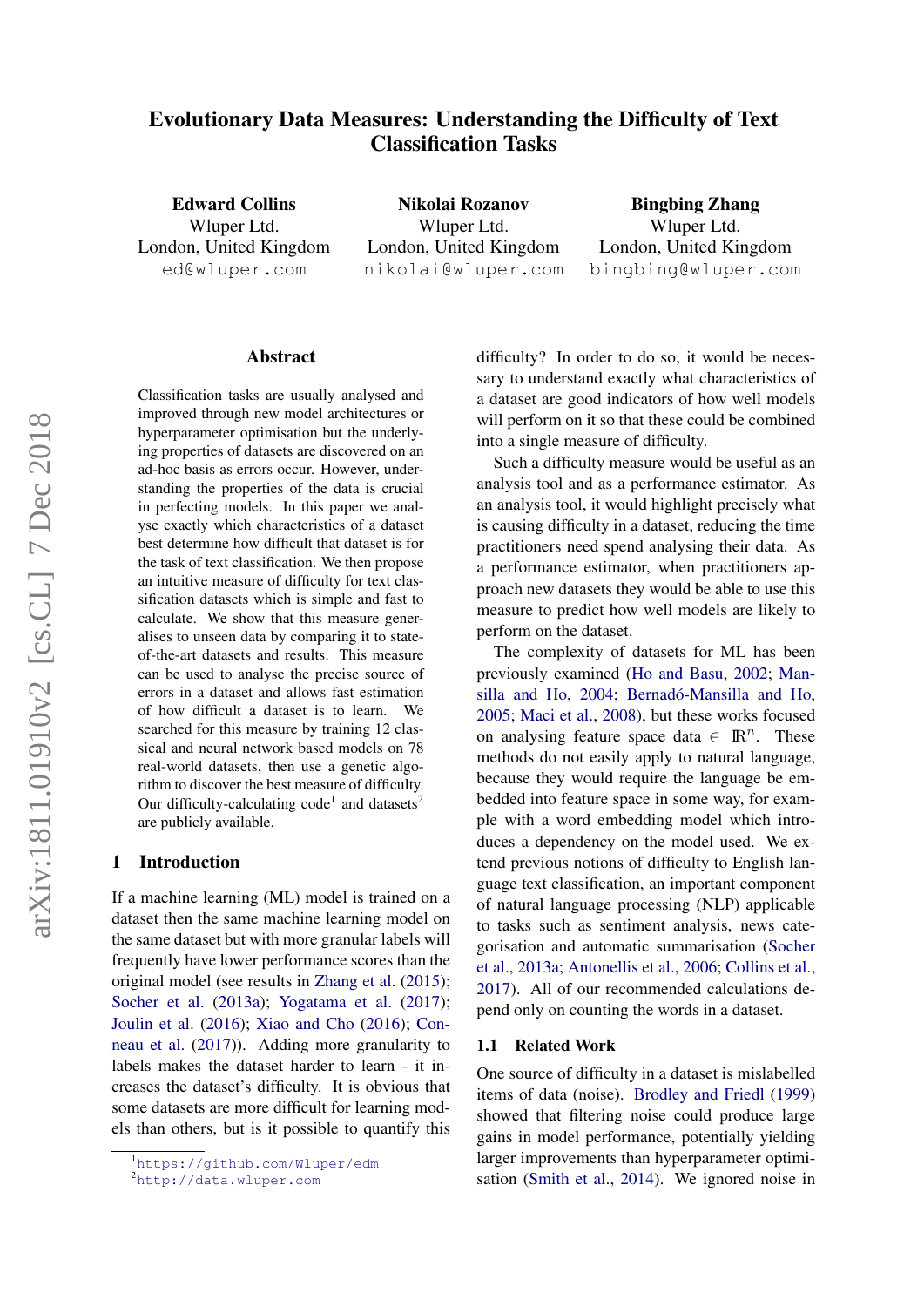# <span id="page-0-2"></span>Evolutionary Data Measures: Understanding the Difficulty of Text Classification Tasks

Edward Collins Wluper Ltd. London, United Kingdom ed@wluper.com

Nikolai Rozanov Wluper Ltd. London, United Kingdom nikolai@wluper.com

Bingbing Zhang Wluper Ltd. London, United Kingdom bingbing@wluper.com

### Abstract

Classification tasks are usually analysed and improved through new model architectures or hyperparameter optimisation but the underlying properties of datasets are discovered on an ad-hoc basis as errors occur. However, understanding the properties of the data is crucial in perfecting models. In this paper we analyse exactly which characteristics of a dataset best determine how difficult that dataset is for the task of text classification. We then propose an intuitive measure of difficulty for text classification datasets which is simple and fast to calculate. We show that this measure generalises to unseen data by comparing it to stateof-the-art datasets and results. This measure can be used to analyse the precise source of errors in a dataset and allows fast estimation of how difficult a dataset is to learn. We searched for this measure by training 12 classical and neural network based models on 78 real-world datasets, then use a genetic algorithm to discover the best measure of difficulty. Our difficulty-calculating code<sup>[1](#page-0-0)</sup> and datasets<sup>[2](#page-0-1)</sup> are publicly available.

#### 1 Introduction

If a machine learning (ML) model is trained on a dataset then the same machine learning model on the same dataset but with more granular labels will frequently have lower performance scores than the original model (see results in [Zhang et al.](#page-11-0) [\(2015\)](#page-11-0); [Socher et al.](#page-11-1) [\(2013a\)](#page-11-1); [Yogatama et al.](#page-11-2) [\(2017\)](#page-11-2); [Joulin et al.](#page-10-0) [\(2016\)](#page-10-0); [Xiao and Cho](#page-11-3) [\(2016\)](#page-11-3); [Con](#page-9-0)[neau et al.](#page-9-0) [\(2017\)](#page-9-0)). Adding more granularity to labels makes the dataset harder to learn - it increases the dataset's difficulty. It is obvious that some datasets are more difficult for learning models than others, but is it possible to quantify this difficulty? In order to do so, it would be necessary to understand exactly what characteristics of a dataset are good indicators of how well models will perform on it so that these could be combined into a single measure of difficulty.

Such a difficulty measure would be useful as an analysis tool and as a performance estimator. As an analysis tool, it would highlight precisely what is causing difficulty in a dataset, reducing the time practitioners need spend analysing their data. As a performance estimator, when practitioners approach new datasets they would be able to use this measure to predict how well models are likely to perform on the dataset.

The complexity of datasets for ML has been previously examined [\(Ho and Basu,](#page-10-1) [2002;](#page-10-1) [Man](#page-10-2)[silla and Ho,](#page-10-2) [2004;](#page-10-2) Bernadó-Mansilla and Ho, [2005;](#page-9-1) [Maci et al.,](#page-10-3) [2008\)](#page-10-3), but these works focused on analysing feature space data  $\in \mathbb{R}^n$ . These methods do not easily apply to natural language, because they would require the language be embedded into feature space in some way, for example with a word embedding model which introduces a dependency on the model used. We extend previous notions of difficulty to English language text classification, an important component of natural language processing (NLP) applicable to tasks such as sentiment analysis, news categorisation and automatic summarisation [\(Socher](#page-11-1) [et al.,](#page-11-1) [2013a;](#page-11-1) [Antonellis et al.,](#page-9-2) [2006;](#page-9-2) [Collins et al.,](#page-9-3) [2017\)](#page-9-3). All of our recommended calculations depend only on counting the words in a dataset.

### 1.1 Related Work

One source of difficulty in a dataset is mislabelled items of data (noise). [Brodley and Friedl](#page-9-4) [\(1999\)](#page-9-4) showed that filtering noise could produce large gains in model performance, potentially yielding larger improvements than hyperparameter optimisation [\(Smith et al.,](#page-11-4) [2014\)](#page-11-4). We ignored noise in

<span id="page-0-0"></span><sup>1</sup><https://github.com/Wluper/edm>

<span id="page-0-1"></span><sup>2</sup><http://data.wluper.com>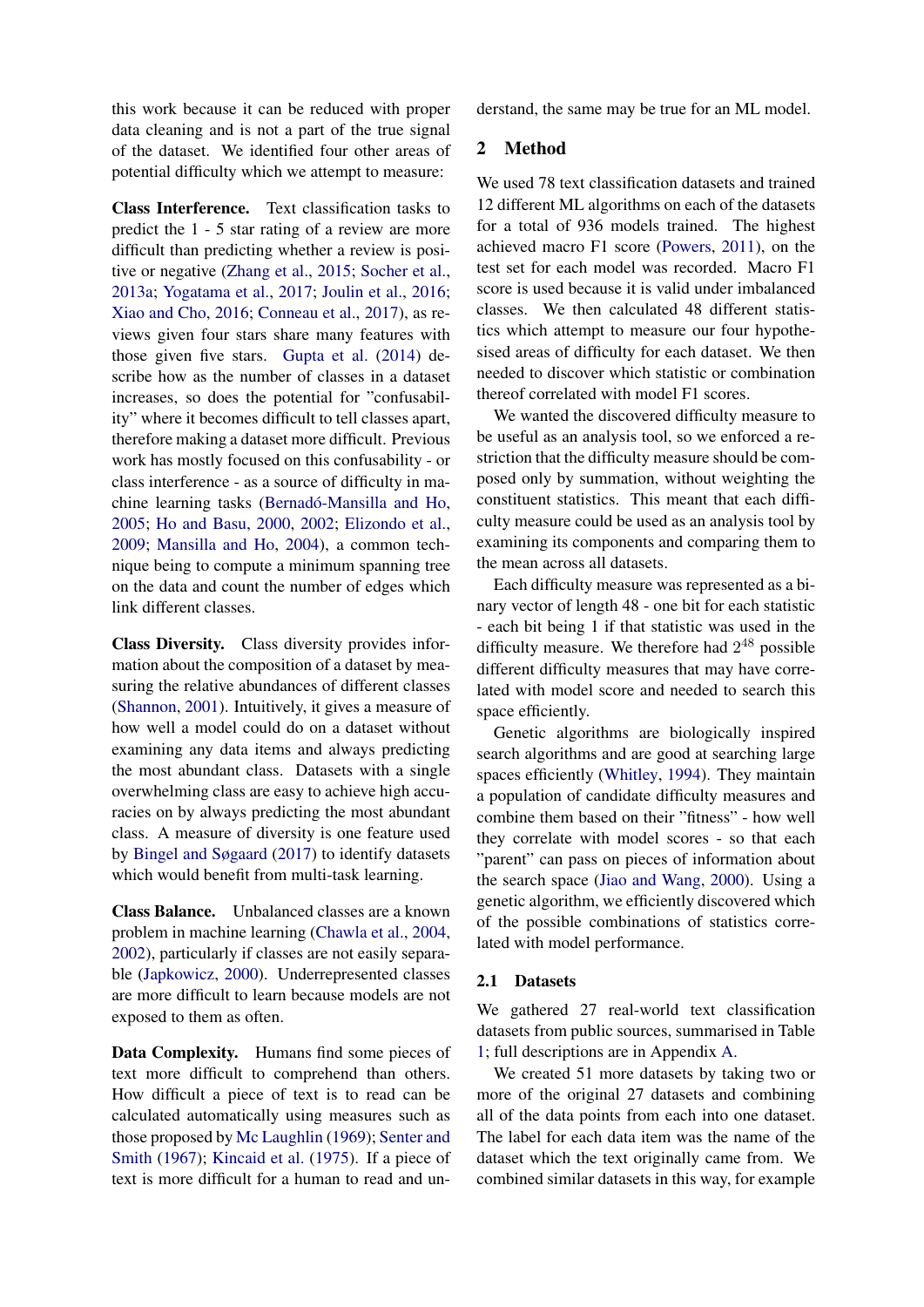this work because it can be reduced with proper data cleaning and is not a part of the true signal of the dataset. We identified four other areas of potential difficulty which we attempt to measure:

Class Interference. Text classification tasks to predict the 1 - 5 star rating of a review are more difficult than predicting whether a review is positive or negative [\(Zhang et al.,](#page-11-0) [2015;](#page-11-0) [Socher et al.,](#page-11-1) [2013a;](#page-11-1) [Yogatama et al.,](#page-11-2) [2017;](#page-11-2) [Joulin et al.,](#page-10-0) [2016;](#page-10-0) [Xiao and Cho,](#page-11-3) [2016;](#page-11-3) [Conneau et al.,](#page-9-0) [2017\)](#page-9-0), as reviews given four stars share many features with those given five stars. [Gupta et al.](#page-9-5) [\(2014\)](#page-9-5) describe how as the number of classes in a dataset increases, so does the potential for "confusability" where it becomes difficult to tell classes apart, therefore making a dataset more difficult. Previous work has mostly focused on this confusability - or class interference - as a source of difficulty in machine learning tasks (Bernadó-Mansilla and Ho, [2005;](#page-9-1) [Ho and Basu,](#page-9-6) [2000,](#page-9-6) [2002;](#page-10-1) [Elizondo et al.,](#page-9-7) [2009;](#page-9-7) [Mansilla and Ho,](#page-10-2) [2004\)](#page-10-2), a common technique being to compute a minimum spanning tree on the data and count the number of edges which link different classes.

Class Diversity. Class diversity provides information about the composition of a dataset by measuring the relative abundances of different classes [\(Shannon,](#page-11-5) [2001\)](#page-11-5). Intuitively, it gives a measure of how well a model could do on a dataset without examining any data items and always predicting the most abundant class. Datasets with a single overwhelming class are easy to achieve high accuracies on by always predicting the most abundant class. A measure of diversity is one feature used by [Bingel and Søgaard](#page-9-8) [\(2017\)](#page-9-8) to identify datasets which would benefit from multi-task learning.

Class Balance. Unbalanced classes are a known problem in machine learning [\(Chawla et al.,](#page-9-9) [2004,](#page-9-9) [2002\)](#page-9-10), particularly if classes are not easily separable [\(Japkowicz,](#page-10-4) [2000\)](#page-10-4). Underrepresented classes are more difficult to learn because models are not exposed to them as often.

Data Complexity. Humans find some pieces of text more difficult to comprehend than others. How difficult a piece of text is to read can be calculated automatically using measures such as those proposed by [Mc Laughlin](#page-10-5) [\(1969\)](#page-10-5); [Senter and](#page-11-6) [Smith](#page-11-6) [\(1967\)](#page-11-6); [Kincaid et al.](#page-10-6) [\(1975\)](#page-10-6). If a piece of text is more difficult for a human to read and understand, the same may be true for an ML model.

# 2 Method

We used 78 text classification datasets and trained 12 different ML algorithms on each of the datasets for a total of 936 models trained. The highest achieved macro F1 score [\(Powers,](#page-10-7) [2011\)](#page-10-7), on the test set for each model was recorded. Macro F1 score is used because it is valid under imbalanced classes. We then calculated 48 different statistics which attempt to measure our four hypothesised areas of difficulty for each dataset. We then needed to discover which statistic or combination thereof correlated with model F1 scores.

We wanted the discovered difficulty measure to be useful as an analysis tool, so we enforced a restriction that the difficulty measure should be composed only by summation, without weighting the constituent statistics. This meant that each difficulty measure could be used as an analysis tool by examining its components and comparing them to the mean across all datasets.

Each difficulty measure was represented as a binary vector of length 48 - one bit for each statistic - each bit being 1 if that statistic was used in the difficulty measure. We therefore had  $2^{48}$  possible different difficulty measures that may have correlated with model score and needed to search this space efficiently.

Genetic algorithms are biologically inspired search algorithms and are good at searching large spaces efficiently [\(Whitley,](#page-11-7) [1994\)](#page-11-7). They maintain a population of candidate difficulty measures and combine them based on their "fitness" - how well they correlate with model scores - so that each "parent" can pass on pieces of information about the search space [\(Jiao and Wang,](#page-10-8) [2000\)](#page-10-8). Using a genetic algorithm, we efficiently discovered which of the possible combinations of statistics correlated with model performance.

# 2.1 Datasets

We gathered 27 real-world text classification datasets from public sources, summarised in Table [1;](#page-2-0) full descriptions are in Appendix [A.](#page-12-0)

We created 51 more datasets by taking two or more of the original 27 datasets and combining all of the data points from each into one dataset. The label for each data item was the name of the dataset which the text originally came from. We combined similar datasets in this way, for example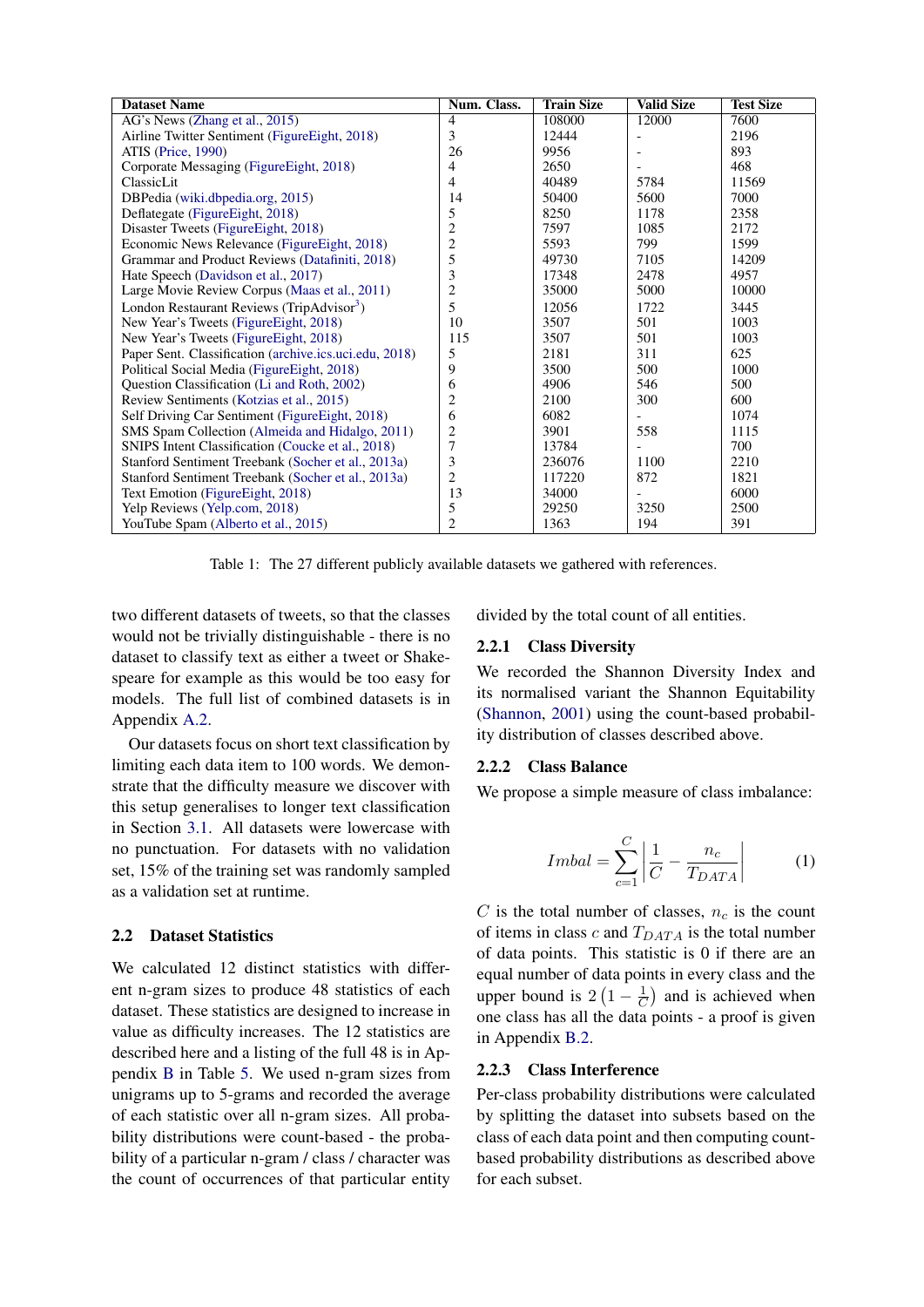| <b>Dataset Name</b>                                    | Num. Class.             | <b>Train Size</b> | <b>Valid Size</b> | <b>Test Size</b> |
|--------------------------------------------------------|-------------------------|-------------------|-------------------|------------------|
| AG's News (Zhang et al., 2015)                         | 4                       | 108000            | 12000             | 7600             |
| Airline Twitter Sentiment (FigureEight, 2018)          | 3                       | 12444             |                   | 2196             |
| ATIS (Price, 1990)                                     | 26                      | 9956              |                   | 893              |
| Corporate Messaging (Figure Eight, 2018)               | 4                       | 2650              |                   | 468              |
| ClassicLit                                             | 4                       | 40489             | 5784              | 11569            |
| DBPedia (wiki.dbpedia.org, 2015)                       | 14                      | 50400             | 5600              | 7000             |
| Deflategate (FigureEight, 2018)                        | 5                       | 8250              | 1178              | 2358             |
| Disaster Tweets (FigureEight, 2018)                    | $\overline{c}$          | 7597              | 1085              | 2172             |
| Economic News Relevance (Figure Eight, 2018)           | $\overline{c}$          | 5593              | 799               | 1599             |
| Grammar and Product Reviews (Datafiniti, 2018)         | 5                       | 49730             | 7105              | 14209            |
| Hate Speech (Davidson et al., 2017)                    | $\overline{\mathbf{3}}$ | 17348             | 2478              | 4957             |
| Large Movie Review Corpus (Maas et al., 2011)          | $\overline{2}$          | 35000             | 5000              | 10000            |
| London Restaurant Reviews (TripAdvisor <sup>3</sup> )  | 5                       | 12056             | 1722              | 3445             |
| New Year's Tweets (Figure Eight, 2018)                 | 10                      | 3507              | 501               | 1003             |
| New Year's Tweets (FigureEight, 2018)                  | 115                     | 3507              | 501               | 1003             |
| Paper Sent. Classification (archive.ics.uci.edu, 2018) | 5                       | 2181              | 311               | 625              |
| Political Social Media (Figure Eight, 2018)            | 9                       | 3500              | 500               | 1000             |
| Question Classification (Li and Roth, 2002)            | 6                       | 4906              | 546               | 500              |
| Review Sentiments (Kotzias et al., 2015)               | $\overline{c}$          | 2100              | 300               | 600              |
| Self Driving Car Sentiment (Figure Eight, 2018)        | 6                       | 6082              |                   | 1074             |
| SMS Spam Collection (Almeida and Hidalgo, 2011)        | $\overline{2}$          | 3901              | 558               | 1115             |
| SNIPS Intent Classification (Coucke et al., 2018)      | $\overline{7}$          | 13784             |                   | 700              |
| Stanford Sentiment Treebank (Socher et al., 2013a)     | 3                       | 236076            | 1100              | 2210             |
| Stanford Sentiment Treebank (Socher et al., 2013a)     | $\overline{c}$          | 117220            | 872               | 1821             |
| Text Emotion (Figure Eight, 2018)                      | 13                      | 34000             |                   | 6000             |
| Yelp Reviews (Yelp.com, 2018)                          | 5                       | 29250             | 3250              | 2500             |
| YouTube Spam (Alberto et al., 2015)                    | $\overline{2}$          | 1363              | 194               | 391              |

Table 1: The 27 different publicly available datasets we gathered with references.

<span id="page-2-0"></span>two different datasets of tweets, so that the classes would not be trivially distinguishable - there is no dataset to classify text as either a tweet or Shakespeare for example as this would be too easy for models. The full list of combined datasets is in Appendix [A.2.](#page-14-0)

Our datasets focus on short text classification by limiting each data item to 100 words. We demonstrate that the difficulty measure we discover with this setup generalises to longer text classification in Section [3.1.](#page-5-0) All datasets were lowercase with no punctuation. For datasets with no validation set, 15% of the training set was randomly sampled as a validation set at runtime.

#### <span id="page-2-1"></span>2.2 Dataset Statistics

We calculated 12 distinct statistics with different n-gram sizes to produce 48 statistics of each dataset. These statistics are designed to increase in value as difficulty increases. The 12 statistics are described here and a listing of the full 48 is in Appendix [B](#page-17-0) in Table [5.](#page-16-0) We used n-gram sizes from unigrams up to 5-grams and recorded the average of each statistic over all n-gram sizes. All probability distributions were count-based - the probability of a particular n-gram / class / character was the count of occurrences of that particular entity divided by the total count of all entities.

### 2.2.1 Class Diversity

We recorded the Shannon Diversity Index and its normalised variant the Shannon Equitability [\(Shannon,](#page-11-5) [2001\)](#page-11-5) using the count-based probability distribution of classes described above.

#### 2.2.2 Class Balance

We propose a simple measure of class imbalance:

$$
Imbal = \sum_{c=1}^{C} \left| \frac{1}{C} - \frac{n_c}{T_{DATA}} \right| \tag{1}
$$

C is the total number of classes,  $n_c$  is the count of items in class c and  $T_{DATA}$  is the total number of data points. This statistic is 0 if there are an equal number of data points in every class and the upper bound is  $2(1 - \frac{1}{6})$  $\frac{1}{C}$ ) and is achieved when one class has all the data points - a proof is given in Appendix [B.2.](#page-17-1)

#### 2.2.3 Class Interference

Per-class probability distributions were calculated by splitting the dataset into subsets based on the class of each data point and then computing countbased probability distributions as described above for each subset.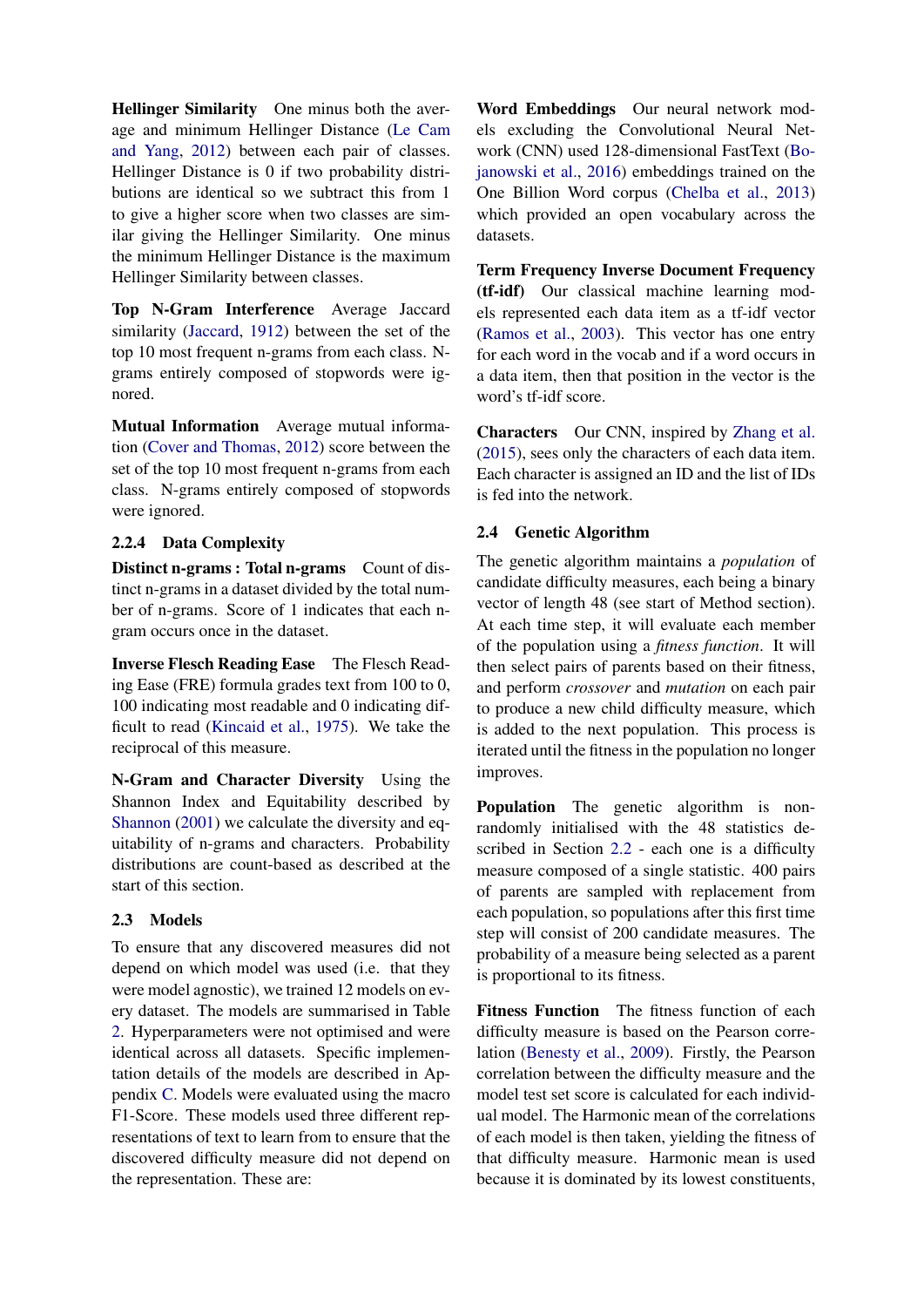Hellinger Similarity One minus both the average and minimum Hellinger Distance [\(Le Cam](#page-10-13) [and Yang,](#page-10-13) [2012\)](#page-10-13) between each pair of classes. Hellinger Distance is 0 if two probability distributions are identical so we subtract this from 1 to give a higher score when two classes are similar giving the Hellinger Similarity. One minus the minimum Hellinger Distance is the maximum Hellinger Similarity between classes.

Top N-Gram Interference Average Jaccard similarity [\(Jaccard,](#page-10-14) [1912\)](#page-10-14) between the set of the top 10 most frequent n-grams from each class. Ngrams entirely composed of stopwords were ignored.

Mutual Information Average mutual information [\(Cover and Thomas,](#page-9-18) [2012\)](#page-9-18) score between the set of the top 10 most frequent n-grams from each class. N-grams entirely composed of stopwords were ignored.

# 2.2.4 Data Complexity

Distinct n-grams : Total n-grams Count of distinct n-grams in a dataset divided by the total number of n-grams. Score of 1 indicates that each ngram occurs once in the dataset.

Inverse Flesch Reading Ease The Flesch Reading Ease (FRE) formula grades text from 100 to 0, 100 indicating most readable and 0 indicating difficult to read [\(Kincaid et al.,](#page-10-6) [1975\)](#page-10-6). We take the reciprocal of this measure.

N-Gram and Character Diversity Using the Shannon Index and Equitability described by [Shannon](#page-11-5) [\(2001\)](#page-11-5) we calculate the diversity and equitability of n-grams and characters. Probability distributions are count-based as described at the start of this section.

# 2.3 Models

To ensure that any discovered measures did not depend on which model was used (i.e. that they were model agnostic), we trained 12 models on every dataset. The models are summarised in Table [2.](#page-4-0) Hyperparameters were not optimised and were identical across all datasets. Specific implementation details of the models are described in Appendix [C.](#page-19-0) Models were evaluated using the macro F1-Score. These models used three different representations of text to learn from to ensure that the discovered difficulty measure did not depend on the representation. These are:

Word Embeddings Our neural network models excluding the Convolutional Neural Network (CNN) used 128-dimensional FastText [\(Bo](#page-9-19)[janowski et al.,](#page-9-19) [2016\)](#page-9-19) embeddings trained on the One Billion Word corpus [\(Chelba et al.,](#page-9-20) [2013\)](#page-9-20) which provided an open vocabulary across the datasets.

Term Frequency Inverse Document Frequency (tf-idf) Our classical machine learning models represented each data item as a tf-idf vector [\(Ramos et al.,](#page-10-15) [2003\)](#page-10-15). This vector has one entry for each word in the vocab and if a word occurs in a data item, then that position in the vector is the word's tf-idf score.

Characters Our CNN, inspired by [Zhang et al.](#page-11-0) [\(2015\)](#page-11-0), sees only the characters of each data item. Each character is assigned an ID and the list of IDs is fed into the network.

# 2.4 Genetic Algorithm

The genetic algorithm maintains a *population* of candidate difficulty measures, each being a binary vector of length 48 (see start of Method section). At each time step, it will evaluate each member of the population using a *fitness function*. It will then select pairs of parents based on their fitness, and perform *crossover* and *mutation* on each pair to produce a new child difficulty measure, which is added to the next population. This process is iterated until the fitness in the population no longer improves.

Population The genetic algorithm is nonrandomly initialised with the 48 statistics described in Section [2.2](#page-2-1) - each one is a difficulty measure composed of a single statistic. 400 pairs of parents are sampled with replacement from each population, so populations after this first time step will consist of 200 candidate measures. The probability of a measure being selected as a parent is proportional to its fitness.

Fitness Function The fitness function of each difficulty measure is based on the Pearson correlation [\(Benesty et al.,](#page-9-21) [2009\)](#page-9-21). Firstly, the Pearson correlation between the difficulty measure and the model test set score is calculated for each individual model. The Harmonic mean of the correlations of each model is then taken, yielding the fitness of that difficulty measure. Harmonic mean is used because it is dominated by its lowest constituents,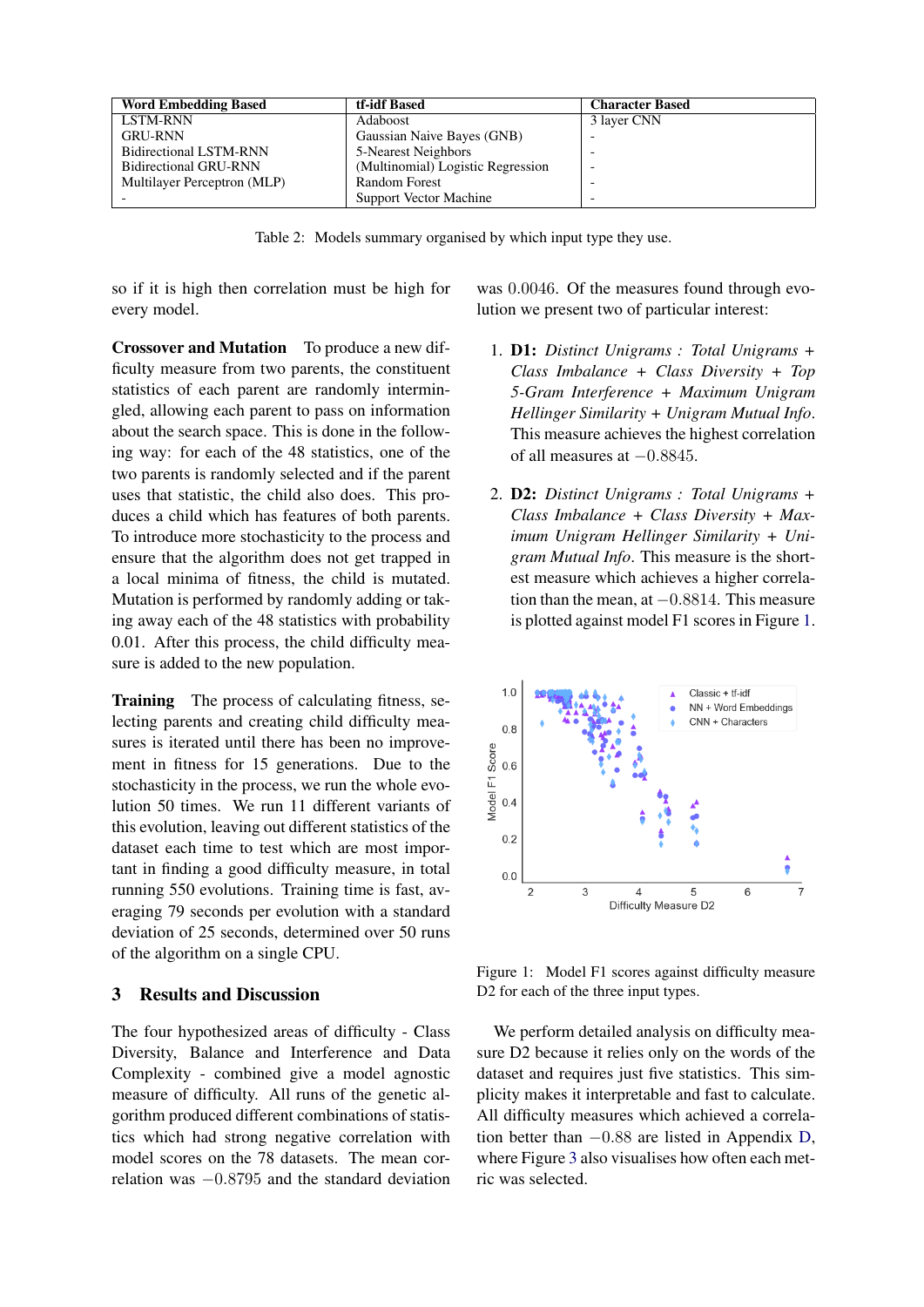| <b>Word Embedding Based</b>   | tf-idf Based                      | <b>Character Based</b> |
|-------------------------------|-----------------------------------|------------------------|
| LSTM-RNN                      | Adaboost                          | 3 layer CNN            |
| <b>GRU-RNN</b>                | Gaussian Naive Bayes (GNB)        |                        |
| <b>Bidirectional LSTM-RNN</b> | 5-Nearest Neighbors               |                        |
| <b>Bidirectional GRU-RNN</b>  | (Multinomial) Logistic Regression |                        |
| Multilayer Perceptron (MLP)   | <b>Random Forest</b>              |                        |
|                               | Support Vector Machine            |                        |

Table 2: Models summary organised by which input type they use.

<span id="page-4-0"></span>so if it is high then correlation must be high for every model.

Crossover and Mutation To produce a new difficulty measure from two parents, the constituent statistics of each parent are randomly intermingled, allowing each parent to pass on information about the search space. This is done in the following way: for each of the 48 statistics, one of the two parents is randomly selected and if the parent uses that statistic, the child also does. This produces a child which has features of both parents. To introduce more stochasticity to the process and ensure that the algorithm does not get trapped in a local minima of fitness, the child is mutated. Mutation is performed by randomly adding or taking away each of the 48 statistics with probability 0.01. After this process, the child difficulty measure is added to the new population.

Training The process of calculating fitness, selecting parents and creating child difficulty measures is iterated until there has been no improvement in fitness for 15 generations. Due to the stochasticity in the process, we run the whole evolution 50 times. We run 11 different variants of this evolution, leaving out different statistics of the dataset each time to test which are most important in finding a good difficulty measure, in total running 550 evolutions. Training time is fast, averaging 79 seconds per evolution with a standard deviation of 25 seconds, determined over 50 runs of the algorithm on a single CPU.

# 3 Results and Discussion

The four hypothesized areas of difficulty - Class Diversity, Balance and Interference and Data Complexity - combined give a model agnostic measure of difficulty. All runs of the genetic algorithm produced different combinations of statistics which had strong negative correlation with model scores on the 78 datasets. The mean correlation was −0.8795 and the standard deviation was 0.0046. Of the measures found through evolution we present two of particular interest:

- 1. D1: *Distinct Unigrams : Total Unigrams + Class Imbalance + Class Diversity + Top 5-Gram Interference + Maximum Unigram Hellinger Similarity + Unigram Mutual Info*. This measure achieves the highest correlation of all measures at  $-0.8845$ .
- 2. D2: *Distinct Unigrams : Total Unigrams + Class Imbalance + Class Diversity + Maximum Unigram Hellinger Similarity + Unigram Mutual Info*. This measure is the shortest measure which achieves a higher correlation than the mean, at  $-0.8814$ . This measure is plotted against model F1 scores in Figure [1.](#page-4-1)



<span id="page-4-1"></span>Figure 1: Model F1 scores against difficulty measure D2 for each of the three input types.

We perform detailed analysis on difficulty measure D2 because it relies only on the words of the dataset and requires just five statistics. This simplicity makes it interpretable and fast to calculate. All difficulty measures which achieved a correlation better than −0.88 are listed in Appendix [D,](#page-21-0) where Figure [3](#page-22-0) also visualises how often each metric was selected.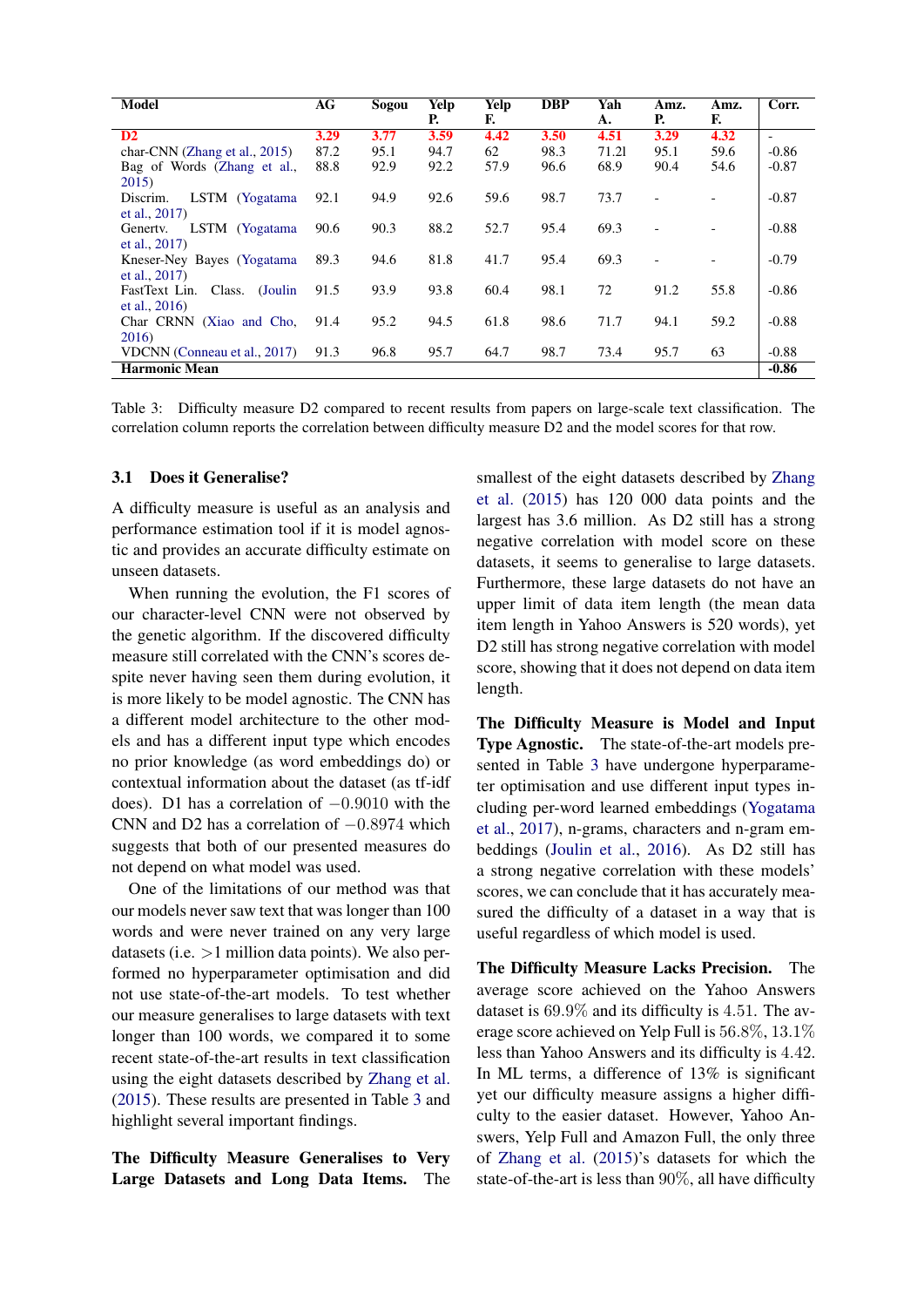| <b>Model</b>                       | AG   | Sogou | Yelp | Yelp | DBP  | Yah   | Amz. | Amz. | Corr.                    |
|------------------------------------|------|-------|------|------|------|-------|------|------|--------------------------|
|                                    |      |       | Р.   | F.   |      | A.    | Р.   | F.   |                          |
| $\mathbf{D2}$                      | 3.29 | 3.77  | 3.59 | 4.42 | 3.50 | 4.51  | 3.29 | 4.32 | $\overline{\phantom{0}}$ |
| char-CNN (Zhang et al., 2015)      | 87.2 | 95.1  | 94.7 | 62   | 98.3 | 71.21 | 95.1 | 59.6 | $-0.86$                  |
| Bag of Words (Zhang et al.,        | 88.8 | 92.9  | 92.2 | 57.9 | 96.6 | 68.9  | 90.4 | 54.6 | $-0.87$                  |
| 2015)                              |      |       |      |      |      |       |      |      |                          |
| LSTM (Yogatama<br>Discrim.         | 92.1 | 94.9  | 92.6 | 59.6 | 98.7 | 73.7  |      |      | $-0.87$                  |
| et al., $2017$ )                   |      |       |      |      |      |       |      |      |                          |
| LSTM (Yogatama<br>Generty.         | 90.6 | 90.3  | 88.2 | 52.7 | 95.4 | 69.3  |      |      | $-0.88$                  |
| et al., 2017)                      |      |       |      |      |      |       |      |      |                          |
| Kneser-Ney Bayes (Yogatama         | 89.3 | 94.6  | 81.8 | 41.7 | 95.4 | 69.3  |      |      | $-0.79$                  |
| et al., $2017$ )                   |      |       |      |      |      |       |      |      |                          |
| Class.<br>(Joulin<br>FastText Lin. | 91.5 | 93.9  | 93.8 | 60.4 | 98.1 | 72    | 91.2 | 55.8 | $-0.86$                  |
| et al., $2016$                     |      |       |      |      |      |       |      |      |                          |
| Char CRNN (Xiao and Cho,           | 91.4 | 95.2  | 94.5 | 61.8 | 98.6 | 71.7  | 94.1 | 59.2 | $-0.88$                  |
| 2016)                              |      |       |      |      |      |       |      |      |                          |
| VDCNN (Conneau et al., 2017)       | 91.3 | 96.8  | 95.7 | 64.7 | 98.7 | 73.4  | 95.7 | 63   | $-0.88$                  |
| <b>Harmonic Mean</b>               |      |       |      |      |      |       |      |      | $-0.86$                  |

<span id="page-5-1"></span>Table 3: Difficulty measure D2 compared to recent results from papers on large-scale text classification. The correlation column reports the correlation between difficulty measure D2 and the model scores for that row.

### <span id="page-5-0"></span>3.1 Does it Generalise?

A difficulty measure is useful as an analysis and performance estimation tool if it is model agnostic and provides an accurate difficulty estimate on unseen datasets.

When running the evolution, the F1 scores of our character-level CNN were not observed by the genetic algorithm. If the discovered difficulty measure still correlated with the CNN's scores despite never having seen them during evolution, it is more likely to be model agnostic. The CNN has a different model architecture to the other models and has a different input type which encodes no prior knowledge (as word embeddings do) or contextual information about the dataset (as tf-idf does). D1 has a correlation of −0.9010 with the CNN and D2 has a correlation of  $-0.8974$  which suggests that both of our presented measures do not depend on what model was used.

One of the limitations of our method was that our models never saw text that was longer than 100 words and were never trained on any very large datasets (i.e.  $>1$  million data points). We also performed no hyperparameter optimisation and did not use state-of-the-art models. To test whether our measure generalises to large datasets with text longer than 100 words, we compared it to some recent state-of-the-art results in text classification using the eight datasets described by [Zhang et al.](#page-11-0) [\(2015\)](#page-11-0). These results are presented in Table [3](#page-5-1) and highlight several important findings.

The Difficulty Measure Generalises to Very Large Datasets and Long Data Items. The smallest of the eight datasets described by [Zhang](#page-11-0) [et al.](#page-11-0) [\(2015\)](#page-11-0) has 120 000 data points and the largest has 3.6 million. As D2 still has a strong negative correlation with model score on these datasets, it seems to generalise to large datasets. Furthermore, these large datasets do not have an upper limit of data item length (the mean data item length in Yahoo Answers is 520 words), yet D2 still has strong negative correlation with model score, showing that it does not depend on data item length.

The Difficulty Measure is Model and Input Type Agnostic. The state-of-the-art models presented in Table [3](#page-5-1) have undergone hyperparameter optimisation and use different input types including per-word learned embeddings [\(Yogatama](#page-11-2) [et al.,](#page-11-2) [2017\)](#page-11-2), n-grams, characters and n-gram embeddings [\(Joulin et al.,](#page-10-0) [2016\)](#page-10-0). As D2 still has a strong negative correlation with these models' scores, we can conclude that it has accurately measured the difficulty of a dataset in a way that is useful regardless of which model is used.

The Difficulty Measure Lacks Precision. The average score achieved on the Yahoo Answers dataset is 69.9% and its difficulty is 4.51. The average score achieved on Yelp Full is 56.8%, 13.1% less than Yahoo Answers and its difficulty is 4.42. In ML terms, a difference of 13% is significant yet our difficulty measure assigns a higher difficulty to the easier dataset. However, Yahoo Answers, Yelp Full and Amazon Full, the only three of [Zhang et al.](#page-11-0) [\(2015\)](#page-11-0)'s datasets for which the state-of-the-art is less than 90%, all have difficulty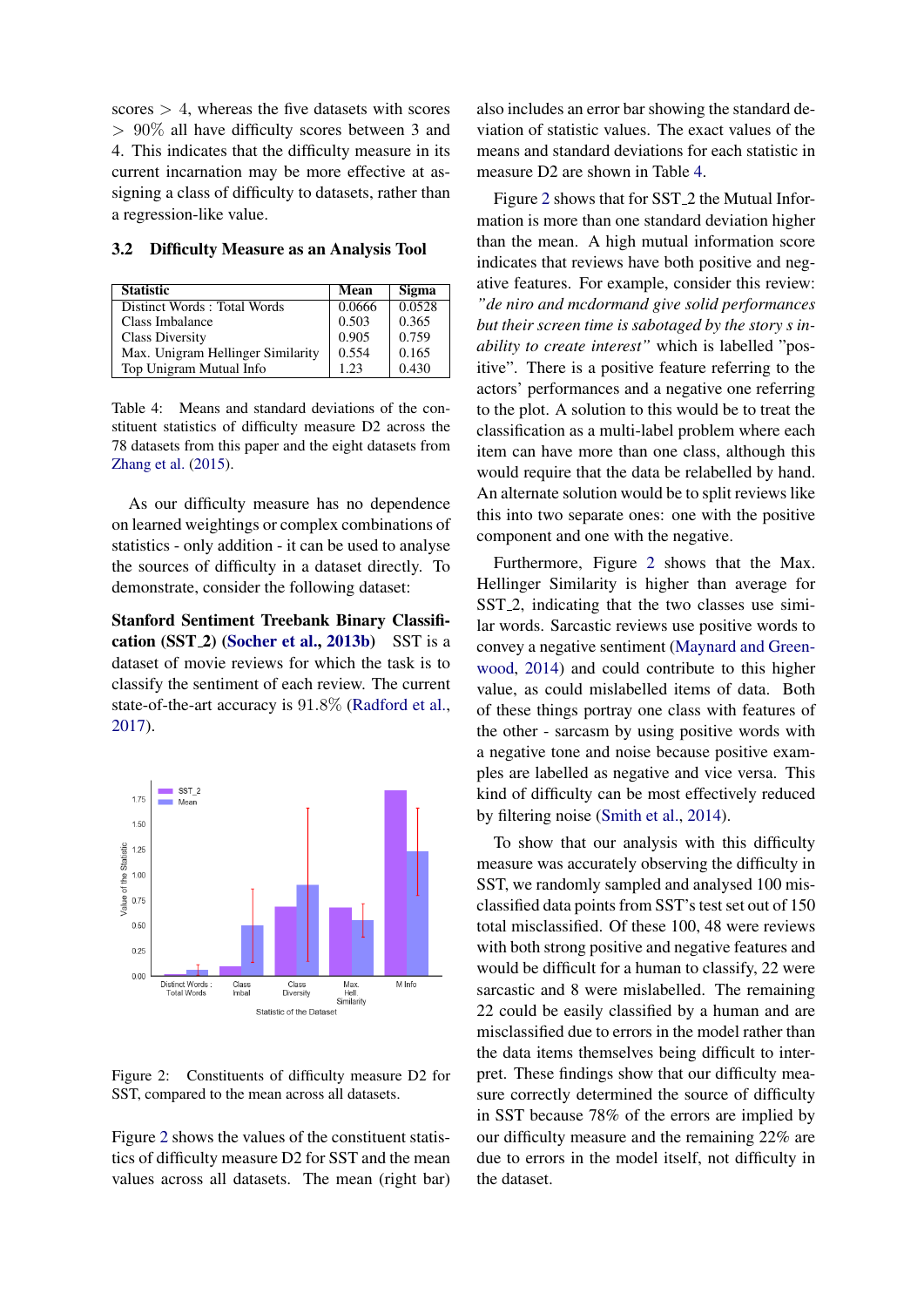scores  $> 4$ , whereas the five datasets with scores > 90% all have difficulty scores between 3 and 4. This indicates that the difficulty measure in its current incarnation may be more effective at assigning a class of difficulty to datasets, rather than a regression-like value.

<span id="page-6-2"></span>3.2 Difficulty Measure as an Analysis Tool

| <b>Statistic</b>                  | Mean   | <b>Sigma</b> |
|-----------------------------------|--------|--------------|
| Distinct Words: Total Words       | 0.0666 | 0.0528       |
| Class Imbalance                   | 0.503  | 0.365        |
| <b>Class Diversity</b>            | 0.905  | 0.759        |
| Max. Unigram Hellinger Similarity | 0.554  | 0.165        |
| Top Unigram Mutual Info           | 1.23   | 0.430        |

<span id="page-6-1"></span>Table 4: Means and standard deviations of the constituent statistics of difficulty measure D2 across the 78 datasets from this paper and the eight datasets from [Zhang et al.](#page-11-0) [\(2015\)](#page-11-0).

As our difficulty measure has no dependence on learned weightings or complex combinations of statistics - only addition - it can be used to analyse the sources of difficulty in a dataset directly. To demonstrate, consider the following dataset:

Stanford Sentiment Treebank Binary Classification  $(SST_2)$  [\(Socher et al.,](#page-11-10) [2013b\)](#page-11-10) SST is a dataset of movie reviews for which the task is to classify the sentiment of each review. The current state-of-the-art accuracy is 91.8% [\(Radford et al.,](#page-10-16) [2017\)](#page-10-16).



<span id="page-6-0"></span>Figure 2: Constituents of difficulty measure D2 for SST, compared to the mean across all datasets.

Figure [2](#page-6-0) shows the values of the constituent statistics of difficulty measure D2 for SST and the mean values across all datasets. The mean (right bar) also includes an error bar showing the standard deviation of statistic values. The exact values of the means and standard deviations for each statistic in measure D2 are shown in Table [4.](#page-6-1)

Figure [2](#page-6-0) shows that for SST 2 the Mutual Information is more than one standard deviation higher than the mean. A high mutual information score indicates that reviews have both positive and negative features. For example, consider this review: *"de niro and mcdormand give solid performances but their screen time is sabotaged by the story s inability to create interest"* which is labelled "positive". There is a positive feature referring to the actors' performances and a negative one referring to the plot. A solution to this would be to treat the classification as a multi-label problem where each item can have more than one class, although this would require that the data be relabelled by hand. An alternate solution would be to split reviews like this into two separate ones: one with the positive component and one with the negative.

Furthermore, Figure [2](#page-6-0) shows that the Max. Hellinger Similarity is higher than average for SST<sub>2</sub>, indicating that the two classes use similar words. Sarcastic reviews use positive words to convey a negative sentiment [\(Maynard and Green](#page-10-17)[wood,](#page-10-17) [2014\)](#page-10-17) and could contribute to this higher value, as could mislabelled items of data. Both of these things portray one class with features of the other - sarcasm by using positive words with a negative tone and noise because positive examples are labelled as negative and vice versa. This kind of difficulty can be most effectively reduced by filtering noise [\(Smith et al.,](#page-11-4) [2014\)](#page-11-4).

To show that our analysis with this difficulty measure was accurately observing the difficulty in SST, we randomly sampled and analysed 100 misclassified data points from SST's test set out of 150 total misclassified. Of these 100, 48 were reviews with both strong positive and negative features and would be difficult for a human to classify, 22 were sarcastic and 8 were mislabelled. The remaining 22 could be easily classified by a human and are misclassified due to errors in the model rather than the data items themselves being difficult to interpret. These findings show that our difficulty measure correctly determined the source of difficulty in SST because 78% of the errors are implied by our difficulty measure and the remaining 22% are due to errors in the model itself, not difficulty in the dataset.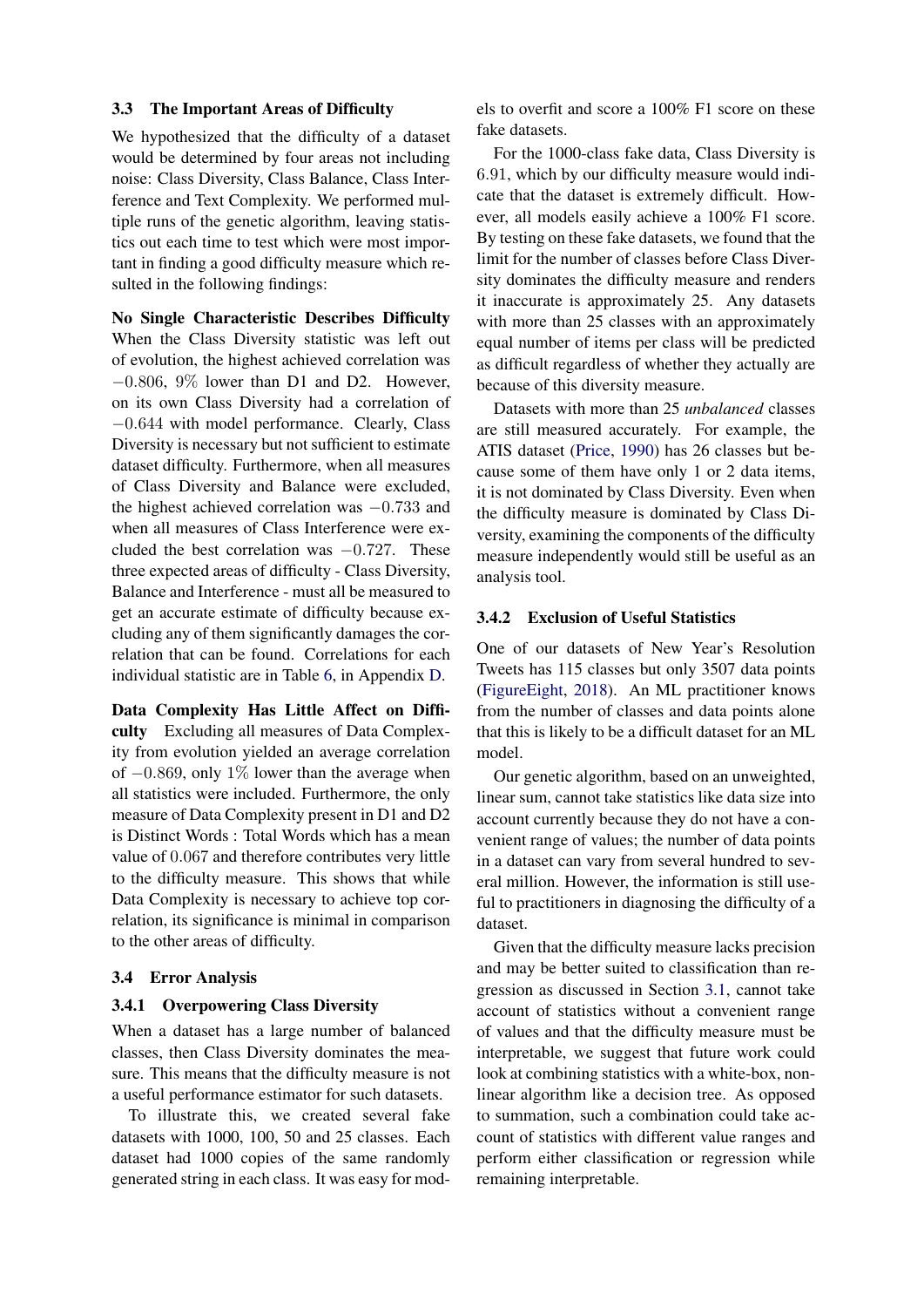### 3.3 The Important Areas of Difficulty

We hypothesized that the difficulty of a dataset would be determined by four areas not including noise: Class Diversity, Class Balance, Class Interference and Text Complexity. We performed multiple runs of the genetic algorithm, leaving statistics out each time to test which were most important in finding a good difficulty measure which resulted in the following findings:

No Single Characteristic Describes Difficulty When the Class Diversity statistic was left out of evolution, the highest achieved correlation was −0.806, 9% lower than D1 and D2. However, on its own Class Diversity had a correlation of −0.644 with model performance. Clearly, Class Diversity is necessary but not sufficient to estimate dataset difficulty. Furthermore, when all measures of Class Diversity and Balance were excluded, the highest achieved correlation was −0.733 and when all measures of Class Interference were excluded the best correlation was −0.727. These three expected areas of difficulty - Class Diversity, Balance and Interference - must all be measured to get an accurate estimate of difficulty because excluding any of them significantly damages the correlation that can be found. Correlations for each individual statistic are in Table [6,](#page-26-0) in Appendix [D.](#page-21-0)

Data Complexity Has Little Affect on Difficulty Excluding all measures of Data Complexity from evolution yielded an average correlation of −0.869, only 1% lower than the average when all statistics were included. Furthermore, the only measure of Data Complexity present in D1 and D2 is Distinct Words : Total Words which has a mean value of 0.067 and therefore contributes very little to the difficulty measure. This shows that while Data Complexity is necessary to achieve top correlation, its significance is minimal in comparison to the other areas of difficulty.

### 3.4 Error Analysis

#### 3.4.1 Overpowering Class Diversity

When a dataset has a large number of balanced classes, then Class Diversity dominates the measure. This means that the difficulty measure is not a useful performance estimator for such datasets.

To illustrate this, we created several fake datasets with 1000, 100, 50 and 25 classes. Each dataset had 1000 copies of the same randomly generated string in each class. It was easy for models to overfit and score a 100% F1 score on these fake datasets.

For the 1000-class fake data, Class Diversity is 6.91, which by our difficulty measure would indicate that the dataset is extremely difficult. However, all models easily achieve a 100% F1 score. By testing on these fake datasets, we found that the limit for the number of classes before Class Diversity dominates the difficulty measure and renders it inaccurate is approximately 25. Any datasets with more than 25 classes with an approximately equal number of items per class will be predicted as difficult regardless of whether they actually are because of this diversity measure.

Datasets with more than 25 *unbalanced* classes are still measured accurately. For example, the ATIS dataset [\(Price,](#page-10-9) [1990\)](#page-10-9) has 26 classes but because some of them have only 1 or 2 data items, it is not dominated by Class Diversity. Even when the difficulty measure is dominated by Class Diversity, examining the components of the difficulty measure independently would still be useful as an analysis tool.

### 3.4.2 Exclusion of Useful Statistics

One of our datasets of New Year's Resolution Tweets has 115 classes but only 3507 data points [\(FigureEight,](#page-9-11) [2018\)](#page-9-11). An ML practitioner knows from the number of classes and data points alone that this is likely to be a difficult dataset for an ML model.

Our genetic algorithm, based on an unweighted, linear sum, cannot take statistics like data size into account currently because they do not have a convenient range of values; the number of data points in a dataset can vary from several hundred to several million. However, the information is still useful to practitioners in diagnosing the difficulty of a dataset.

Given that the difficulty measure lacks precision and may be better suited to classification than regression as discussed in Section [3.1,](#page-5-0) cannot take account of statistics without a convenient range of values and that the difficulty measure must be interpretable, we suggest that future work could look at combining statistics with a white-box, nonlinear algorithm like a decision tree. As opposed to summation, such a combination could take account of statistics with different value ranges and perform either classification or regression while remaining interpretable.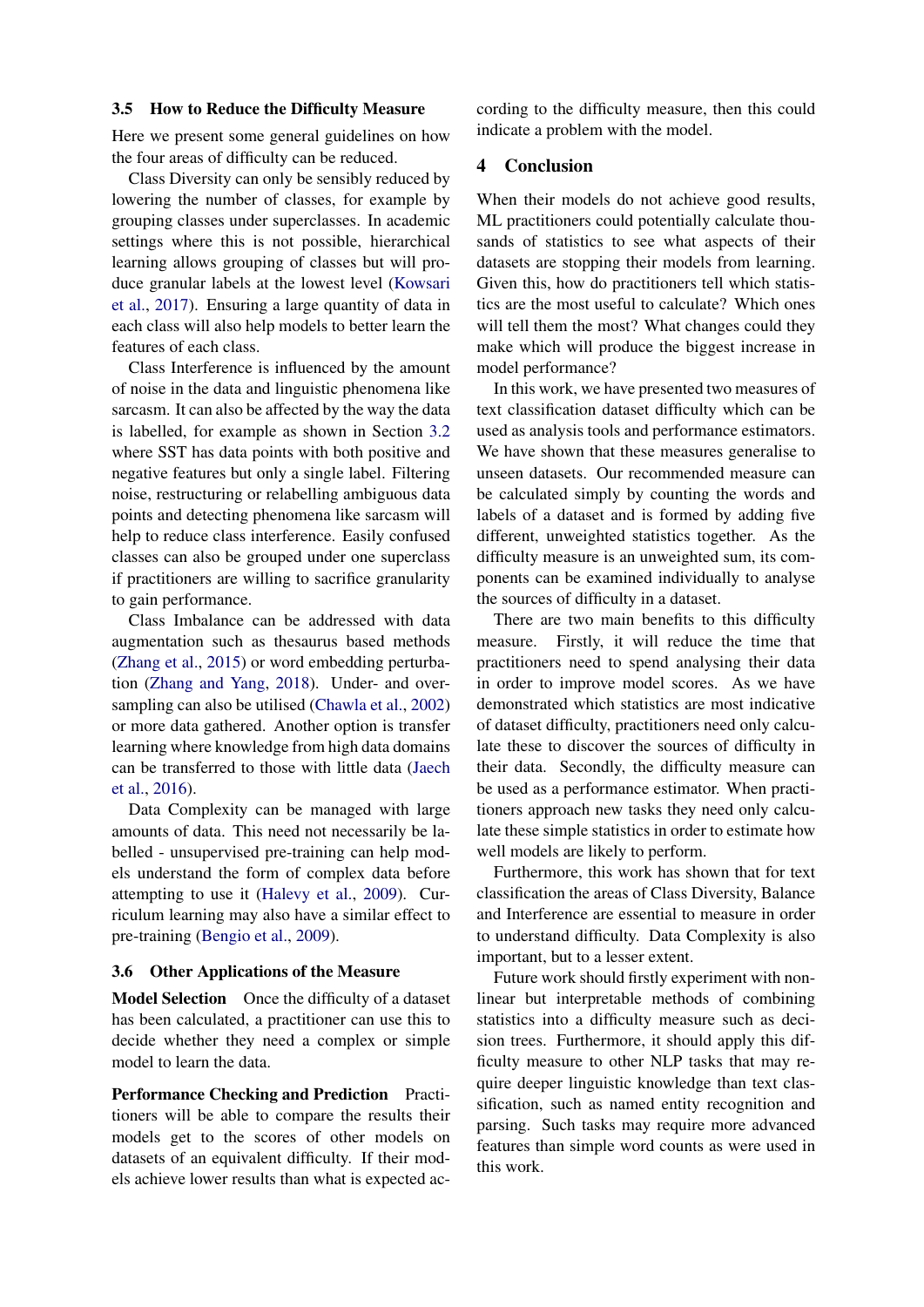#### 3.5 How to Reduce the Difficulty Measure

Here we present some general guidelines on how the four areas of difficulty can be reduced.

Class Diversity can only be sensibly reduced by lowering the number of classes, for example by grouping classes under superclasses. In academic settings where this is not possible, hierarchical learning allows grouping of classes but will produce granular labels at the lowest level [\(Kowsari](#page-10-18) [et al.,](#page-10-18) [2017\)](#page-10-18). Ensuring a large quantity of data in each class will also help models to better learn the features of each class.

Class Interference is influenced by the amount of noise in the data and linguistic phenomena like sarcasm. It can also be affected by the way the data is labelled, for example as shown in Section [3.2](#page-6-2) where SST has data points with both positive and negative features but only a single label. Filtering noise, restructuring or relabelling ambiguous data points and detecting phenomena like sarcasm will help to reduce class interference. Easily confused classes can also be grouped under one superclass if practitioners are willing to sacrifice granularity to gain performance.

Class Imbalance can be addressed with data augmentation such as thesaurus based methods [\(Zhang et al.,](#page-11-0) [2015\)](#page-11-0) or word embedding perturbation [\(Zhang and Yang,](#page-11-11) [2018\)](#page-11-11). Under- and oversampling can also be utilised [\(Chawla et al.,](#page-9-10) [2002\)](#page-9-10) or more data gathered. Another option is transfer learning where knowledge from high data domains can be transferred to those with little data [\(Jaech](#page-10-19) [et al.,](#page-10-19) [2016\)](#page-10-19).

Data Complexity can be managed with large amounts of data. This need not necessarily be labelled - unsupervised pre-training can help models understand the form of complex data before attempting to use it [\(Halevy et al.,](#page-9-22) [2009\)](#page-9-22). Curriculum learning may also have a similar effect to pre-training [\(Bengio et al.,](#page-9-23) [2009\)](#page-9-23).

#### 3.6 Other Applications of the Measure

Model Selection Once the difficulty of a dataset has been calculated, a practitioner can use this to decide whether they need a complex or simple model to learn the data.

Performance Checking and Prediction Practitioners will be able to compare the results their models get to the scores of other models on datasets of an equivalent difficulty. If their models achieve lower results than what is expected according to the difficulty measure, then this could indicate a problem with the model.

# 4 Conclusion

When their models do not achieve good results, ML practitioners could potentially calculate thousands of statistics to see what aspects of their datasets are stopping their models from learning. Given this, how do practitioners tell which statistics are the most useful to calculate? Which ones will tell them the most? What changes could they make which will produce the biggest increase in model performance?

In this work, we have presented two measures of text classification dataset difficulty which can be used as analysis tools and performance estimators. We have shown that these measures generalise to unseen datasets. Our recommended measure can be calculated simply by counting the words and labels of a dataset and is formed by adding five different, unweighted statistics together. As the difficulty measure is an unweighted sum, its components can be examined individually to analyse the sources of difficulty in a dataset.

There are two main benefits to this difficulty measure. Firstly, it will reduce the time that practitioners need to spend analysing their data in order to improve model scores. As we have demonstrated which statistics are most indicative of dataset difficulty, practitioners need only calculate these to discover the sources of difficulty in their data. Secondly, the difficulty measure can be used as a performance estimator. When practitioners approach new tasks they need only calculate these simple statistics in order to estimate how well models are likely to perform.

Furthermore, this work has shown that for text classification the areas of Class Diversity, Balance and Interference are essential to measure in order to understand difficulty. Data Complexity is also important, but to a lesser extent.

Future work should firstly experiment with nonlinear but interpretable methods of combining statistics into a difficulty measure such as decision trees. Furthermore, it should apply this difficulty measure to other NLP tasks that may require deeper linguistic knowledge than text classification, such as named entity recognition and parsing. Such tasks may require more advanced features than simple word counts as were used in this work.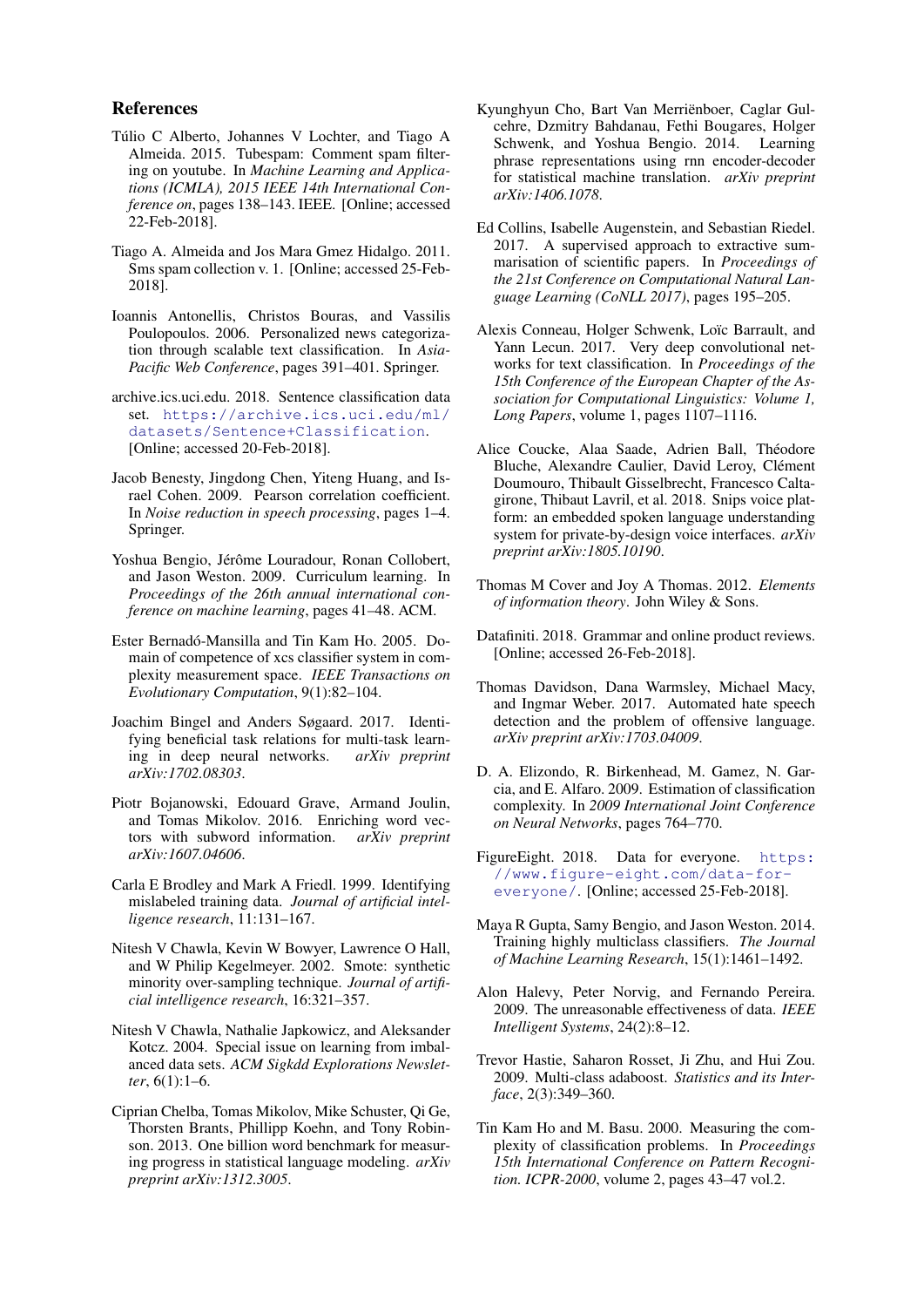### References

- <span id="page-9-17"></span>Túlio C Alberto, Johannes V Lochter, and Tiago A Almeida. 2015. Tubespam: Comment spam filtering on youtube. In *Machine Learning and Applications (ICMLA), 2015 IEEE 14th International Conference on*, pages 138–143. IEEE. [Online; accessed 22-Feb-2018].
- <span id="page-9-15"></span>Tiago A. Almeida and Jos Mara Gmez Hidalgo. 2011. Sms spam collection v. 1. [Online; accessed 25-Feb-2018].
- <span id="page-9-2"></span>Ioannis Antonellis, Christos Bouras, and Vassilis Poulopoulos. 2006. Personalized news categorization through scalable text classification. In *Asia-Pacific Web Conference*, pages 391–401. Springer.
- <span id="page-9-14"></span>archive.ics.uci.edu. 2018. Sentence classification data set. [https://archive.ics.uci.edu/ml/](https://archive.ics.uci.edu/ml/datasets/Sentence+Classification) [datasets/Sentence+Classification](https://archive.ics.uci.edu/ml/datasets/Sentence+Classification). [Online; accessed 20-Feb-2018].
- <span id="page-9-21"></span>Jacob Benesty, Jingdong Chen, Yiteng Huang, and Israel Cohen. 2009. Pearson correlation coefficient. In *Noise reduction in speech processing*, pages 1–4. Springer.
- <span id="page-9-23"></span>Yoshua Bengio, Jérôme Louradour, Ronan Collobert, and Jason Weston. 2009. Curriculum learning. In *Proceedings of the 26th annual international conference on machine learning*, pages 41–48. ACM.
- <span id="page-9-1"></span>Ester Bernadó-Mansilla and Tin Kam Ho. 2005. Domain of competence of xcs classifier system in complexity measurement space. *IEEE Transactions on Evolutionary Computation*, 9(1):82–104.
- <span id="page-9-8"></span>Joachim Bingel and Anders Søgaard. 2017. Identifying beneficial task relations for multi-task learning in deep neural networks. *arXiv preprint arXiv:1702.08303*.
- <span id="page-9-19"></span>Piotr Bojanowski, Edouard Grave, Armand Joulin, and Tomas Mikolov. 2016. Enriching word vectors with subword information. *arXiv preprint arXiv:1607.04606*.
- <span id="page-9-4"></span>Carla E Brodley and Mark A Friedl. 1999. Identifying mislabeled training data. *Journal of artificial intelligence research*, 11:131–167.
- <span id="page-9-10"></span>Nitesh V Chawla, Kevin W Bowyer, Lawrence O Hall, and W Philip Kegelmeyer. 2002. Smote: synthetic minority over-sampling technique. *Journal of artificial intelligence research*, 16:321–357.
- <span id="page-9-9"></span>Nitesh V Chawla, Nathalie Japkowicz, and Aleksander Kotcz. 2004. Special issue on learning from imbalanced data sets. *ACM Sigkdd Explorations Newsletter*, 6(1):1–6.
- <span id="page-9-20"></span>Ciprian Chelba, Tomas Mikolov, Mike Schuster, Qi Ge, Thorsten Brants, Phillipp Koehn, and Tony Robinson. 2013. One billion word benchmark for measuring progress in statistical language modeling. *arXiv preprint arXiv:1312.3005*.
- <span id="page-9-24"></span>Kyunghyun Cho, Bart Van Merrienboer, Caglar Gul- ¨ cehre, Dzmitry Bahdanau, Fethi Bougares, Holger Schwenk, and Yoshua Bengio. 2014. Learning phrase representations using rnn encoder-decoder for statistical machine translation. *arXiv preprint arXiv:1406.1078*.
- <span id="page-9-3"></span>Ed Collins, Isabelle Augenstein, and Sebastian Riedel. 2017. A supervised approach to extractive summarisation of scientific papers. In *Proceedings of the 21st Conference on Computational Natural Language Learning (CoNLL 2017)*, pages 195–205.
- <span id="page-9-0"></span>Alexis Conneau, Holger Schwenk, Loïc Barrault, and Yann Lecun. 2017. Very deep convolutional networks for text classification. In *Proceedings of the 15th Conference of the European Chapter of the Association for Computational Linguistics: Volume 1, Long Papers*, volume 1, pages 1107–1116.
- <span id="page-9-16"></span>Alice Coucke, Alaa Saade, Adrien Ball, Théodore Bluche, Alexandre Caulier, David Leroy, Clément Doumouro, Thibault Gisselbrecht, Francesco Caltagirone, Thibaut Lavril, et al. 2018. Snips voice platform: an embedded spoken language understanding system for private-by-design voice interfaces. *arXiv preprint arXiv:1805.10190*.
- <span id="page-9-18"></span>Thomas M Cover and Joy A Thomas. 2012. *Elements of information theory*. John Wiley & Sons.
- <span id="page-9-12"></span>Datafiniti. 2018. Grammar and online product reviews. [Online; accessed 26-Feb-2018].
- <span id="page-9-13"></span>Thomas Davidson, Dana Warmsley, Michael Macy, and Ingmar Weber. 2017. Automated hate speech detection and the problem of offensive language. *arXiv preprint arXiv:1703.04009*.
- <span id="page-9-7"></span>D. A. Elizondo, R. Birkenhead, M. Gamez, N. Garcia, and E. Alfaro. 2009. Estimation of classification complexity. In *2009 International Joint Conference on Neural Networks*, pages 764–770.
- <span id="page-9-11"></span>FigureEight. 2018. Data for everyone. [https:](https://www.figure-eight.com/data-for-everyone/) [//www.figure-eight.com/data-for](https://www.figure-eight.com/data-for-everyone/)[everyone/](https://www.figure-eight.com/data-for-everyone/). [Online; accessed 25-Feb-2018].
- <span id="page-9-5"></span>Maya R Gupta, Samy Bengio, and Jason Weston. 2014. Training highly multiclass classifiers. *The Journal of Machine Learning Research*, 15(1):1461–1492.
- <span id="page-9-22"></span>Alon Halevy, Peter Norvig, and Fernando Pereira. 2009. The unreasonable effectiveness of data. *IEEE Intelligent Systems*, 24(2):8–12.
- <span id="page-9-25"></span>Trevor Hastie, Saharon Rosset, Ji Zhu, and Hui Zou. 2009. Multi-class adaboost. *Statistics and its Interface*, 2(3):349–360.
- <span id="page-9-6"></span>Tin Kam Ho and M. Basu. 2000. Measuring the complexity of classification problems. In *Proceedings 15th International Conference on Pattern Recognition. ICPR-2000*, volume 2, pages 43–47 vol.2.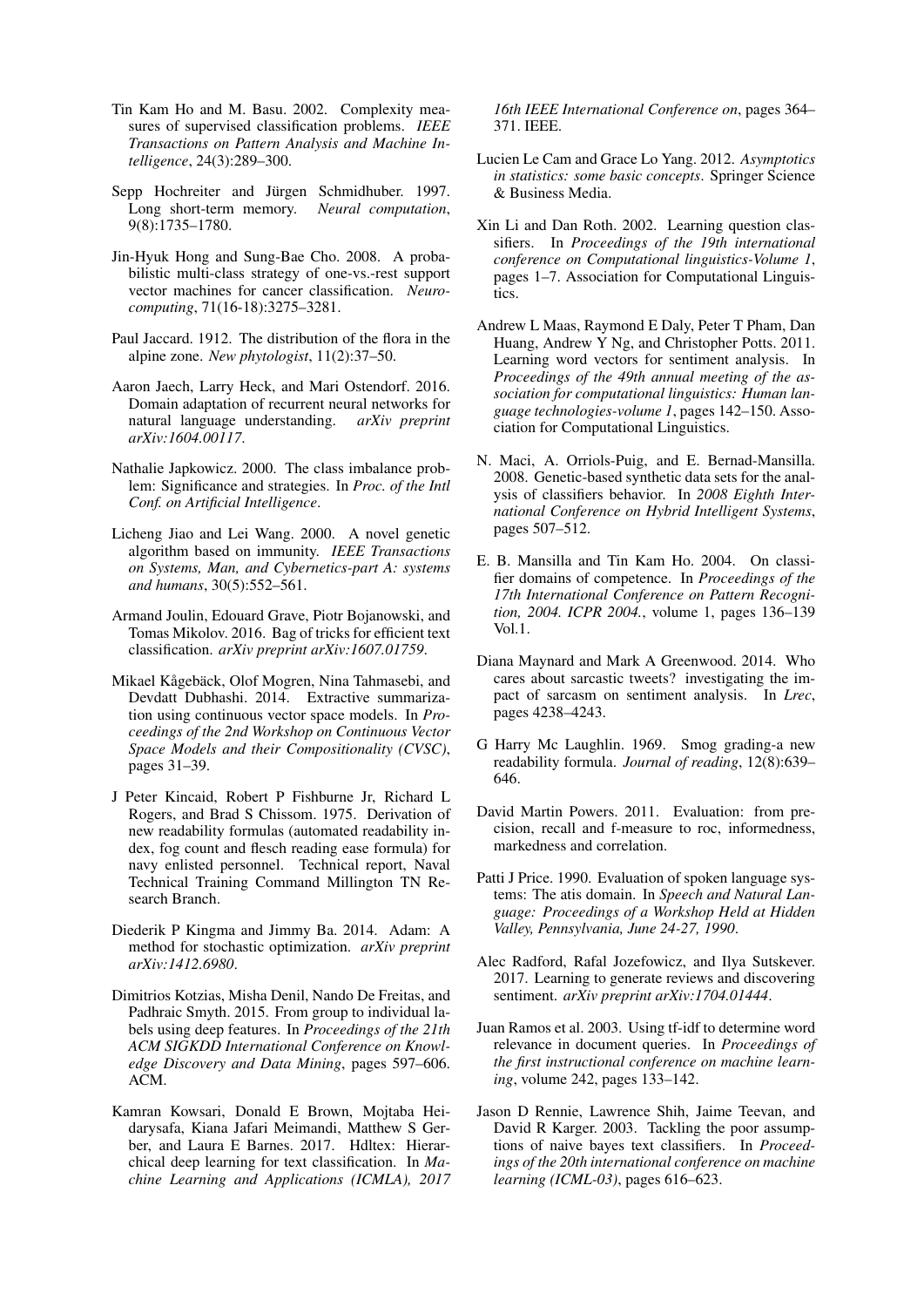- <span id="page-10-1"></span>Tin Kam Ho and M. Basu. 2002. Complexity measures of supervised classification problems. *IEEE Transactions on Pattern Analysis and Machine Intelligence*, 24(3):289–300.
- <span id="page-10-21"></span>Sepp Hochreiter and Jürgen Schmidhuber. 1997. Long short-term memory. *Neural computation*, 9(8):1735–1780.
- <span id="page-10-24"></span>Jin-Hyuk Hong and Sung-Bae Cho. 2008. A probabilistic multi-class strategy of one-vs.-rest support vector machines for cancer classification. *Neurocomputing*, 71(16-18):3275–3281.
- <span id="page-10-14"></span>Paul Jaccard. 1912. The distribution of the flora in the alpine zone. *New phytologist*, 11(2):37–50.
- <span id="page-10-19"></span>Aaron Jaech, Larry Heck, and Mari Ostendorf. 2016. Domain adaptation of recurrent neural networks for natural language understanding. *arXiv preprint arXiv:1604.00117*.
- <span id="page-10-4"></span>Nathalie Japkowicz. 2000. The class imbalance problem: Significance and strategies. In *Proc. of the Intl Conf. on Artificial Intelligence*.
- <span id="page-10-8"></span>Licheng Jiao and Lei Wang. 2000. A novel genetic algorithm based on immunity. *IEEE Transactions on Systems, Man, and Cybernetics-part A: systems and humans*, 30(5):552–561.
- <span id="page-10-0"></span>Armand Joulin, Edouard Grave, Piotr Bojanowski, and Tomas Mikolov. 2016. Bag of tricks for efficient text classification. *arXiv preprint arXiv:1607.01759*.
- <span id="page-10-22"></span>Mikael Kågebäck, Olof Mogren, Nina Tahmasebi, and Devdatt Dubhashi. 2014. Extractive summarization using continuous vector space models. In *Proceedings of the 2nd Workshop on Continuous Vector Space Models and their Compositionality (CVSC)*, pages 31–39.
- <span id="page-10-6"></span>J Peter Kincaid, Robert P Fishburne Jr, Richard L Rogers, and Brad S Chissom. 1975. Derivation of new readability formulas (automated readability index, fog count and flesch reading ease formula) for navy enlisted personnel. Technical report, Naval Technical Training Command Millington TN Research Branch.
- <span id="page-10-20"></span>Diederik P Kingma and Jimmy Ba. 2014. Adam: A method for stochastic optimization. *arXiv preprint arXiv:1412.6980*.
- <span id="page-10-12"></span>Dimitrios Kotzias, Misha Denil, Nando De Freitas, and Padhraic Smyth. 2015. From group to individual labels using deep features. In *Proceedings of the 21th ACM SIGKDD International Conference on Knowledge Discovery and Data Mining*, pages 597–606. ACM.
- <span id="page-10-18"></span>Kamran Kowsari, Donald E Brown, Mojtaba Heidarysafa, Kiana Jafari Meimandi, Matthew S Gerber, and Laura E Barnes. 2017. Hdltex: Hierarchical deep learning for text classification. In *Machine Learning and Applications (ICMLA), 2017*

*16th IEEE International Conference on*, pages 364– 371. IEEE.

- <span id="page-10-13"></span>Lucien Le Cam and Grace Lo Yang. 2012. *Asymptotics in statistics: some basic concepts*. Springer Science & Business Media.
- <span id="page-10-11"></span>Xin Li and Dan Roth. 2002. Learning question classifiers. In *Proceedings of the 19th international conference on Computational linguistics-Volume 1*, pages 1–7. Association for Computational Linguistics.
- <span id="page-10-10"></span>Andrew L Maas, Raymond E Daly, Peter T Pham, Dan Huang, Andrew Y Ng, and Christopher Potts. 2011. Learning word vectors for sentiment analysis. In *Proceedings of the 49th annual meeting of the association for computational linguistics: Human language technologies-volume 1*, pages 142–150. Association for Computational Linguistics.
- <span id="page-10-3"></span>N. Maci, A. Orriols-Puig, and E. Bernad-Mansilla. 2008. Genetic-based synthetic data sets for the analysis of classifiers behavior. In *2008 Eighth International Conference on Hybrid Intelligent Systems*, pages 507–512.
- <span id="page-10-2"></span>E. B. Mansilla and Tin Kam Ho. 2004. On classifier domains of competence. In *Proceedings of the 17th International Conference on Pattern Recognition, 2004. ICPR 2004.*, volume 1, pages 136–139 Vol.1.
- <span id="page-10-17"></span>Diana Maynard and Mark A Greenwood. 2014. Who cares about sarcastic tweets? investigating the impact of sarcasm on sentiment analysis. In *Lrec*, pages 4238–4243.
- <span id="page-10-5"></span>G Harry Mc Laughlin. 1969. Smog grading-a new readability formula. *Journal of reading*, 12(8):639– 646.
- <span id="page-10-7"></span>David Martin Powers. 2011. Evaluation: from precision, recall and f-measure to roc, informedness, markedness and correlation.
- <span id="page-10-9"></span>Patti J Price. 1990. Evaluation of spoken language systems: The atis domain. In *Speech and Natural Language: Proceedings of a Workshop Held at Hidden Valley, Pennsylvania, June 24-27, 1990*.
- <span id="page-10-16"></span>Alec Radford, Rafal Jozefowicz, and Ilya Sutskever. 2017. Learning to generate reviews and discovering sentiment. *arXiv preprint arXiv:1704.01444*.
- <span id="page-10-15"></span>Juan Ramos et al. 2003. Using tf-idf to determine word relevance in document queries. In *Proceedings of the first instructional conference on machine learning*, volume 242, pages 133–142.
- <span id="page-10-23"></span>Jason D Rennie, Lawrence Shih, Jaime Teevan, and David R Karger. 2003. Tackling the poor assumptions of naive bayes text classifiers. In *Proceedings of the 20th international conference on machine learning (ICML-03)*, pages 616–623.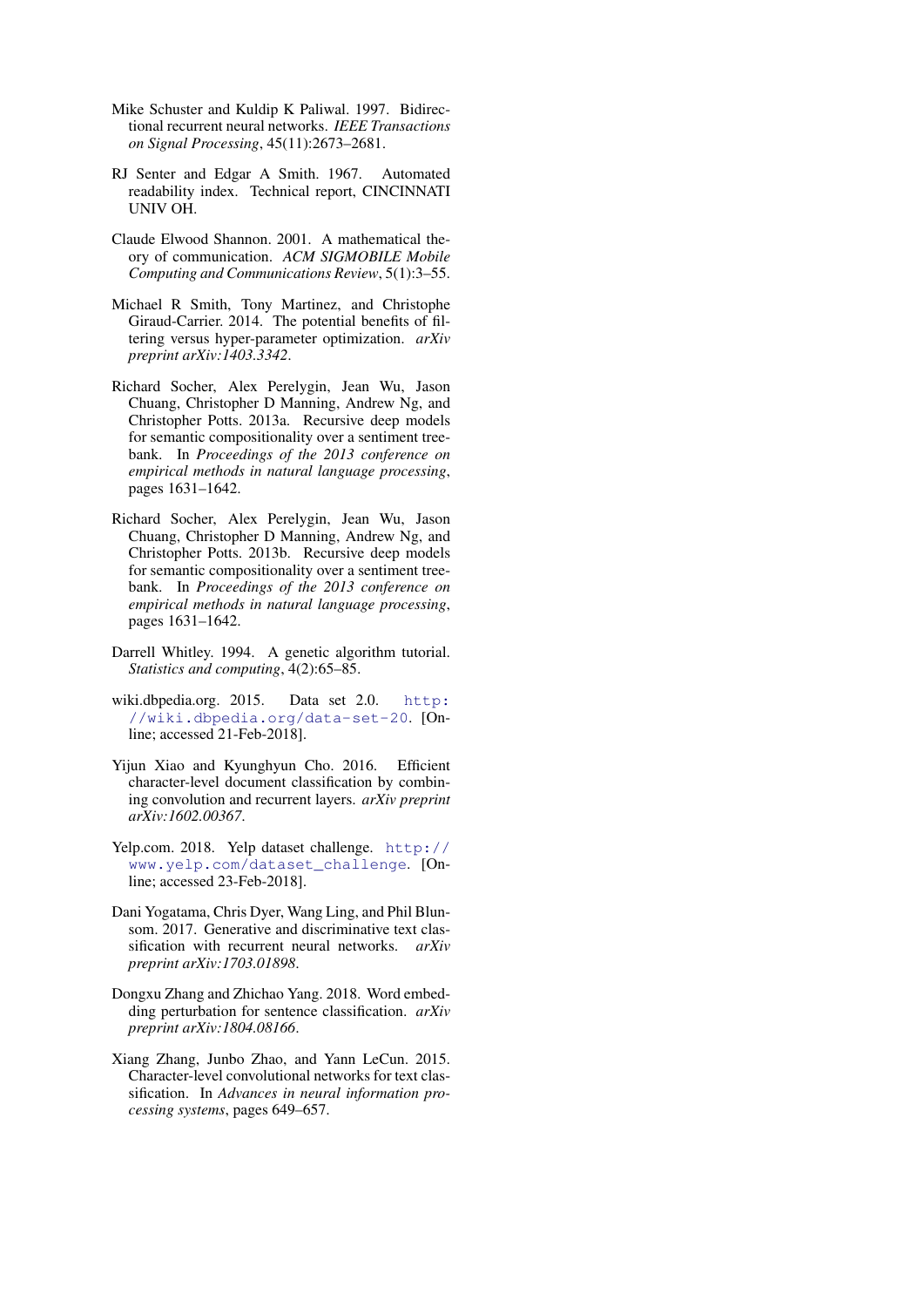- <span id="page-11-12"></span>Mike Schuster and Kuldip K Paliwal. 1997. Bidirectional recurrent neural networks. *IEEE Transactions on Signal Processing*, 45(11):2673–2681.
- <span id="page-11-6"></span>RJ Senter and Edgar A Smith. 1967. Automated readability index. Technical report, CINCINNATI UNIV OH.
- <span id="page-11-5"></span>Claude Elwood Shannon. 2001. A mathematical theory of communication. *ACM SIGMOBILE Mobile Computing and Communications Review*, 5(1):3–55.
- <span id="page-11-4"></span>Michael R Smith, Tony Martinez, and Christophe Giraud-Carrier. 2014. The potential benefits of filtering versus hyper-parameter optimization. *arXiv preprint arXiv:1403.3342*.
- <span id="page-11-1"></span>Richard Socher, Alex Perelygin, Jean Wu, Jason Chuang, Christopher D Manning, Andrew Ng, and Christopher Potts. 2013a. Recursive deep models for semantic compositionality over a sentiment treebank. In *Proceedings of the 2013 conference on empirical methods in natural language processing*, pages 1631–1642.
- <span id="page-11-10"></span>Richard Socher, Alex Perelygin, Jean Wu, Jason Chuang, Christopher D Manning, Andrew Ng, and Christopher Potts. 2013b. Recursive deep models for semantic compositionality over a sentiment treebank. In *Proceedings of the 2013 conference on empirical methods in natural language processing*, pages 1631–1642.
- <span id="page-11-7"></span>Darrell Whitley. 1994. A genetic algorithm tutorial. *Statistics and computing*, 4(2):65–85.
- <span id="page-11-8"></span>wiki.dbpedia.org. 2015. Data set 2.0. [http:](http://wiki.dbpedia.org/data-set-20) [//wiki.dbpedia.org/data-set-20](http://wiki.dbpedia.org/data-set-20). [Online; accessed 21-Feb-2018].
- <span id="page-11-3"></span>Yijun Xiao and Kyunghyun Cho. 2016. Efficient character-level document classification by combining convolution and recurrent layers. *arXiv preprint arXiv:1602.00367*.
- <span id="page-11-9"></span>Yelp.com. 2018. Yelp dataset challenge. [http://](http://www.yelp.com/dataset_challenge) [www.yelp.com/dataset\\_challenge](http://www.yelp.com/dataset_challenge). [Online; accessed 23-Feb-2018].
- <span id="page-11-2"></span>Dani Yogatama, Chris Dyer, Wang Ling, and Phil Blunsom. 2017. Generative and discriminative text classification with recurrent neural networks. *arXiv preprint arXiv:1703.01898*.
- <span id="page-11-11"></span>Dongxu Zhang and Zhichao Yang. 2018. Word embedding perturbation for sentence classification. *arXiv preprint arXiv:1804.08166*.
- <span id="page-11-0"></span>Xiang Zhang, Junbo Zhao, and Yann LeCun. 2015. Character-level convolutional networks for text classification. In *Advances in neural information processing systems*, pages 649–657.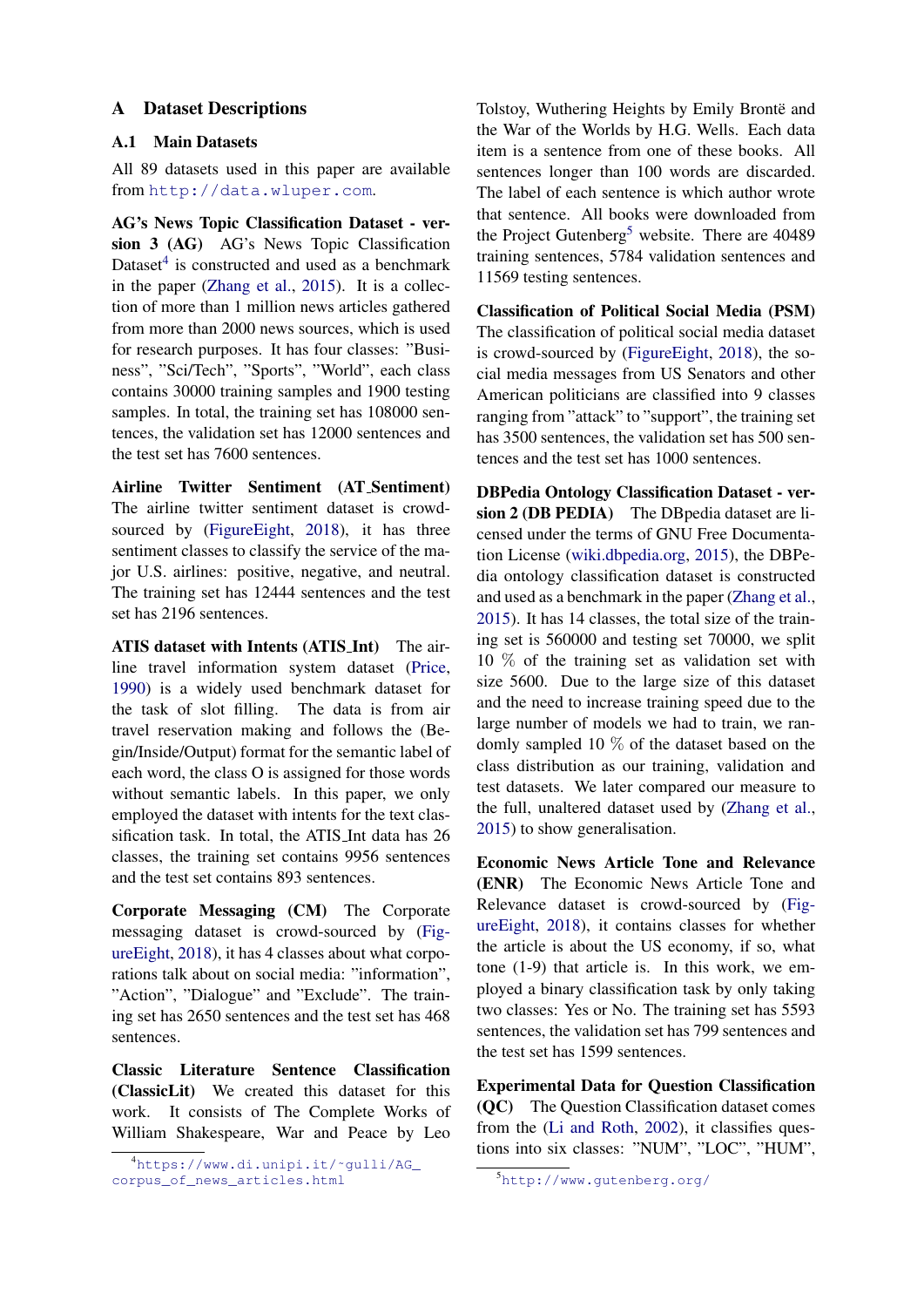# <span id="page-12-0"></span>A Dataset Descriptions

# A.1 Main Datasets

All 89 datasets used in this paper are available from <http://data.wluper.com>.

AG's News Topic Classification Dataset - version 3 (AG) AG's News Topic Classification Dataset<sup>[4](#page-12-1)</sup> is constructed and used as a benchmark in the paper [\(Zhang et al.,](#page-11-0) [2015\)](#page-11-0). It is a collection of more than 1 million news articles gathered from more than 2000 news sources, which is used for research purposes. It has four classes: "Business", "Sci/Tech", "Sports", "World", each class contains 30000 training samples and 1900 testing samples. In total, the training set has  $108000$  sentences, the validation set has 12000 sentences and the test set has 7600 sentences.

Airline Twitter Sentiment (AT Sentiment) The airline twitter sentiment dataset is crowd-sourced by [\(FigureEight,](#page-9-11) [2018\)](#page-9-11), it has three sentiment classes to classify the service of the major U.S. airlines: positive, negative, and neutral. The training set has 12444 sentences and the test set has 2196 sentences.

ATIS dataset with Intents (ATIS Int) The airline travel information system dataset [\(Price,](#page-10-9) [1990\)](#page-10-9) is a widely used benchmark dataset for the task of slot filling. The data is from air travel reservation making and follows the (Begin/Inside/Output) format for the semantic label of each word, the class O is assigned for those words without semantic labels. In this paper, we only employed the dataset with intents for the text classification task. In total, the ATIS Int data has 26 classes, the training set contains 9956 sentences and the test set contains 893 sentences.

Corporate Messaging (CM) The Corporate messaging dataset is crowd-sourced by [\(Fig](#page-9-11)[ureEight,](#page-9-11) [2018\)](#page-9-11), it has 4 classes about what corporations talk about on social media: "information", "Action", "Dialogue" and "Exclude". The training set has 2650 sentences and the test set has 468 sentences.

Classic Literature Sentence Classification (ClassicLit) We created this dataset for this work. It consists of The Complete Works of William Shakespeare, War and Peace by Leo Tolstoy, Wuthering Heights by Emily Brontë and the War of the Worlds by H.G. Wells. Each data item is a sentence from one of these books. All sentences longer than 100 words are discarded. The label of each sentence is which author wrote that sentence. All books were downloaded from the Project Gutenberg<sup>[5](#page-12-2)</sup> website. There are  $40489$ training sentences, 5784 validation sentences and 11569 testing sentences.

Classification of Political Social Media (PSM) The classification of political social media dataset is crowd-sourced by [\(FigureEight,](#page-9-11) [2018\)](#page-9-11), the social media messages from US Senators and other American politicians are classified into 9 classes ranging from "attack" to "support", the training set has 3500 sentences, the validation set has 500 sentences and the test set has 1000 sentences.

DBPedia Ontology Classification Dataset - version 2 (DB PEDIA) The DB pedia dataset are licensed under the terms of GNU Free Documentation License [\(wiki.dbpedia.org,](#page-11-8) [2015\)](#page-11-8), the DBPedia ontology classification dataset is constructed and used as a benchmark in the paper [\(Zhang et al.,](#page-11-0) [2015\)](#page-11-0). It has 14 classes, the total size of the training set is 560000 and testing set 70000, we split 10 % of the training set as validation set with size 5600. Due to the large size of this dataset and the need to increase training speed due to the large number of models we had to train, we randomly sampled 10 % of the dataset based on the class distribution as our training, validation and test datasets. We later compared our measure to the full, unaltered dataset used by [\(Zhang et al.,](#page-11-0) [2015\)](#page-11-0) to show generalisation.

Economic News Article Tone and Relevance (ENR) The Economic News Article Tone and Relevance dataset is crowd-sourced by [\(Fig](#page-9-11)[ureEight,](#page-9-11) [2018\)](#page-9-11), it contains classes for whether the article is about the US economy, if so, what tone (1-9) that article is. In this work, we employed a binary classification task by only taking two classes: Yes or No. The training set has 5593 sentences, the validation set has 799 sentences and the test set has 1599 sentences.

Experimental Data for Question Classification (QC) The Question Classification dataset comes from the [\(Li and Roth,](#page-10-11) [2002\)](#page-10-11), it classifies questions into six classes: "NUM", "LOC", "HUM",

<span id="page-12-1"></span><sup>4</sup>[https://www.di.unipi.it/˜gulli/AG\\_](https://www.di.unipi.it/~gulli/AG_corpus_of_news_articles.html) [corpus\\_of\\_news\\_articles.html](https://www.di.unipi.it/~gulli/AG_corpus_of_news_articles.html)

<span id="page-12-2"></span><sup>5</sup><http://www.gutenberg.org/>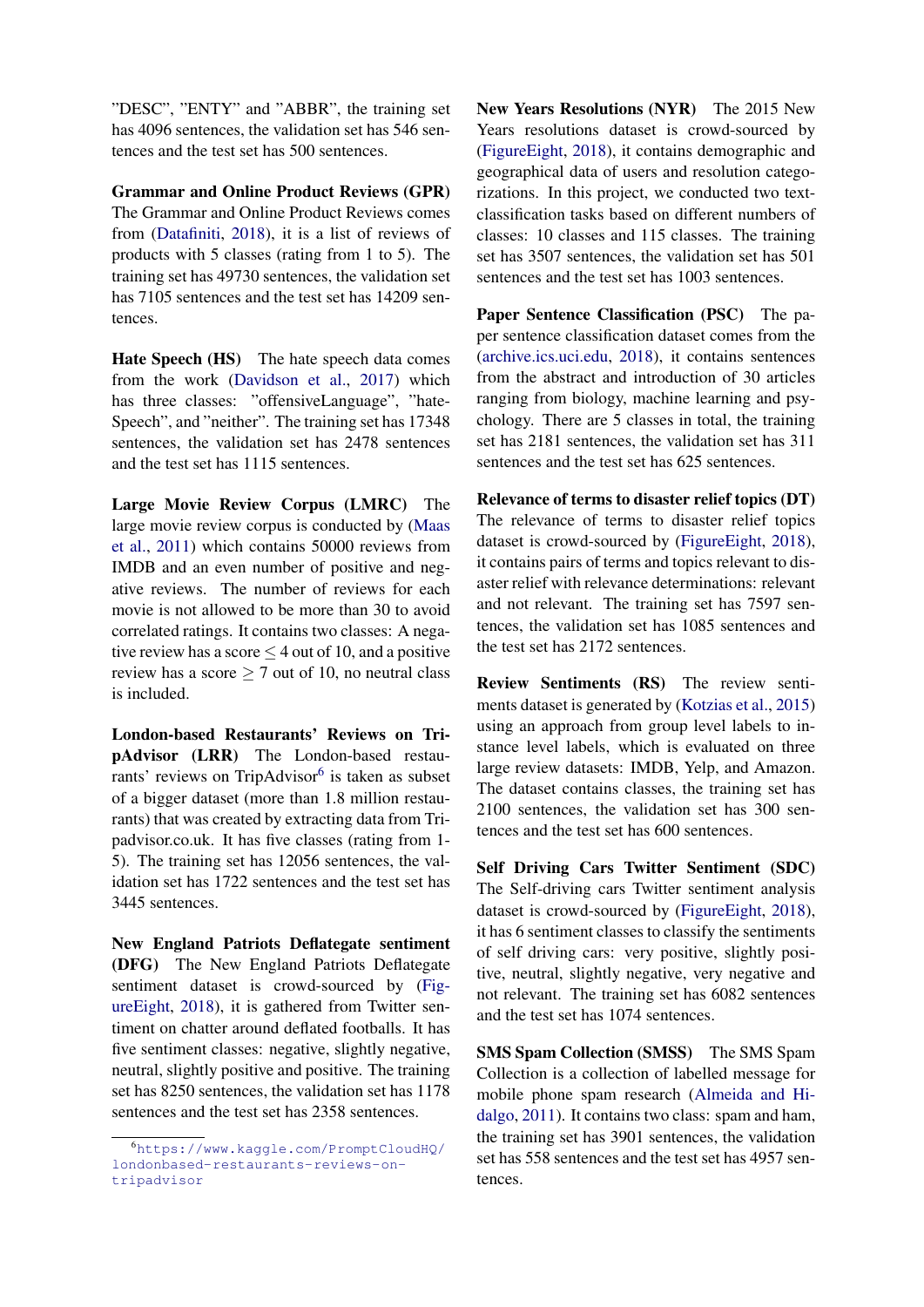"DESC", "ENTY" and "ABBR", the training set has 4096 sentences, the validation set has 546 sentences and the test set has 500 sentences.

Grammar and Online Product Reviews (GPR) The Grammar and Online Product Reviews comes from [\(Datafiniti,](#page-9-12) [2018\)](#page-9-12), it is a list of reviews of products with 5 classes (rating from 1 to 5). The training set has 49730 sentences, the validation set has 7105 sentences and the test set has 14209 sentences.

Hate Speech (HS) The hate speech data comes from the work [\(Davidson et al.,](#page-9-13) [2017\)](#page-9-13) which has three classes: "offensiveLanguage", "hate-Speech", and "neither". The training set has 17348 sentences, the validation set has 2478 sentences and the test set has 1115 sentences.

Large Movie Review Corpus (LMRC) The large movie review corpus is conducted by [\(Maas](#page-10-10) [et al.,](#page-10-10) [2011\)](#page-10-10) which contains 50000 reviews from IMDB and an even number of positive and negative reviews. The number of reviews for each movie is not allowed to be more than 30 to avoid correlated ratings. It contains two classes: A negative review has a score  $\leq$  4 out of 10, and a positive review has a score  $\geq 7$  out of 10, no neutral class is included.

London-based Restaurants' Reviews on TripAdvisor (LRR) The London-based restau-rants' reviews on TripAdvisor<sup>[6](#page-13-0)</sup> is taken as subset of a bigger dataset (more than 1.8 million restaurants) that was created by extracting data from Tripadvisor.co.uk. It has five classes (rating from 1- 5). The training set has 12056 sentences, the validation set has 1722 sentences and the test set has 3445 sentences.

New England Patriots Deflategate sentiment (DFG) The New England Patriots Deflategate sentiment dataset is crowd-sourced by [\(Fig](#page-9-11)[ureEight,](#page-9-11) [2018\)](#page-9-11), it is gathered from Twitter sentiment on chatter around deflated footballs. It has five sentiment classes: negative, slightly negative, neutral, slightly positive and positive. The training set has 8250 sentences, the validation set has 1178 sentences and the test set has 2358 sentences.

New Years Resolutions (NYR) The 2015 New Years resolutions dataset is crowd-sourced by [\(FigureEight,](#page-9-11) [2018\)](#page-9-11), it contains demographic and geographical data of users and resolution categorizations. In this project, we conducted two textclassification tasks based on different numbers of classes: 10 classes and 115 classes. The training set has 3507 sentences, the validation set has 501 sentences and the test set has 1003 sentences.

Paper Sentence Classification (PSC) The paper sentence classification dataset comes from the [\(archive.ics.uci.edu,](#page-9-14) [2018\)](#page-9-14), it contains sentences from the abstract and introduction of 30 articles ranging from biology, machine learning and psychology. There are 5 classes in total, the training set has 2181 sentences, the validation set has 311 sentences and the test set has 625 sentences.

Relevance of terms to disaster relief topics (DT) The relevance of terms to disaster relief topics dataset is crowd-sourced by [\(FigureEight,](#page-9-11) [2018\)](#page-9-11), it contains pairs of terms and topics relevant to disaster relief with relevance determinations: relevant and not relevant. The training set has 7597 sentences, the validation set has 1085 sentences and the test set has 2172 sentences.

Review Sentiments (RS) The review sentiments dataset is generated by [\(Kotzias et al.,](#page-10-12) [2015\)](#page-10-12) using an approach from group level labels to instance level labels, which is evaluated on three large review datasets: IMDB, Yelp, and Amazon. The dataset contains classes, the training set has 2100 sentences, the validation set has 300 sentences and the test set has 600 sentences.

Self Driving Cars Twitter Sentiment (SDC) The Self-driving cars Twitter sentiment analysis dataset is crowd-sourced by [\(FigureEight,](#page-9-11) [2018\)](#page-9-11), it has 6 sentiment classes to classify the sentiments of self driving cars: very positive, slightly positive, neutral, slightly negative, very negative and not relevant. The training set has 6082 sentences and the test set has 1074 sentences.

SMS Spam Collection (SMSS) The SMS Spam Collection is a collection of labelled message for mobile phone spam research [\(Almeida and Hi](#page-9-15)[dalgo,](#page-9-15) [2011\)](#page-9-15). It contains two class: spam and ham, the training set has 3901 sentences, the validation set has 558 sentences and the test set has 4957 sentences.

<span id="page-13-0"></span><sup>6</sup>[https://www.kaggle.com/PromptCloudHQ/](https://www.kaggle.com/PromptCloudHQ/londonbased-restaurants-reviews-on-tripadvisor) [londonbased-restaurants-reviews-on](https://www.kaggle.com/PromptCloudHQ/londonbased-restaurants-reviews-on-tripadvisor)[tripadvisor](https://www.kaggle.com/PromptCloudHQ/londonbased-restaurants-reviews-on-tripadvisor)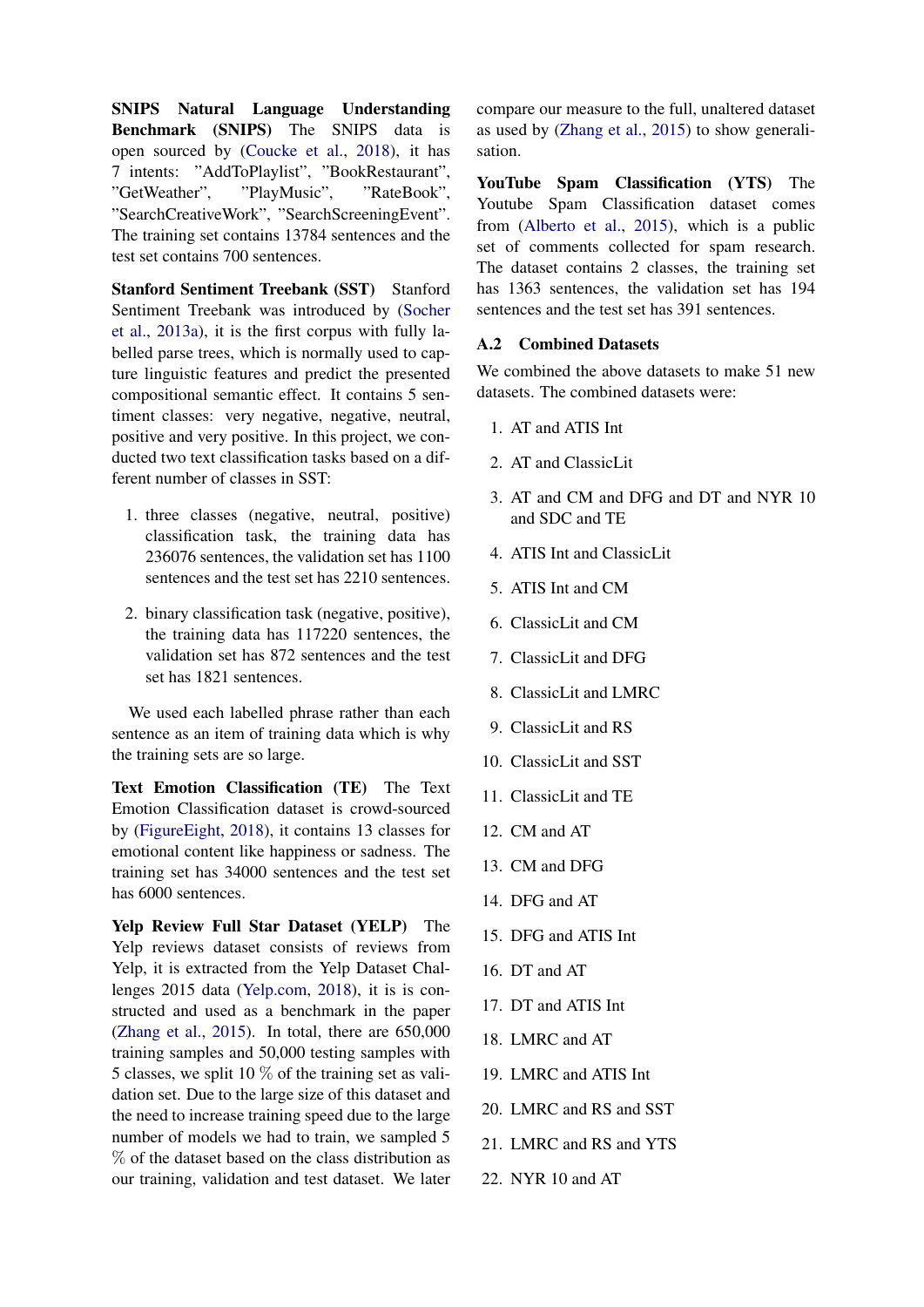SNIPS Natural Language Understanding Benchmark (SNIPS) The SNIPS data is open sourced by [\(Coucke et al.,](#page-9-16) [2018\)](#page-9-16), it has 7 intents: "AddToPlaylist", "BookRestaurant", "GetWeather", "PlayMusic", "RateBook", "SearchCreativeWork", "SearchScreeningEvent". The training set contains 13784 sentences and the test set contains 700 sentences.

Stanford Sentiment Treebank (SST) Stanford Sentiment Treebank was introduced by [\(Socher](#page-11-1) [et al.,](#page-11-1) [2013a\)](#page-11-1), it is the first corpus with fully labelled parse trees, which is normally used to capture linguistic features and predict the presented compositional semantic effect. It contains 5 sentiment classes: very negative, negative, neutral, positive and very positive. In this project, we conducted two text classification tasks based on a different number of classes in SST:

- 1. three classes (negative, neutral, positive) classification task, the training data has 236076 sentences, the validation set has 1100 sentences and the test set has 2210 sentences.
- 2. binary classification task (negative, positive), the training data has 117220 sentences, the validation set has 872 sentences and the test set has 1821 sentences.

We used each labelled phrase rather than each sentence as an item of training data which is why the training sets are so large.

Text Emotion Classification (TE) The Text Emotion Classification dataset is crowd-sourced by [\(FigureEight,](#page-9-11) [2018\)](#page-9-11), it contains 13 classes for emotional content like happiness or sadness. The training set has 34000 sentences and the test set has 6000 sentences.

Yelp Review Full Star Dataset (YELP) The Yelp reviews dataset consists of reviews from Yelp, it is extracted from the Yelp Dataset Challenges 2015 data [\(Yelp.com,](#page-11-9) [2018\)](#page-11-9), it is is constructed and used as a benchmark in the paper [\(Zhang et al.,](#page-11-0) [2015\)](#page-11-0). In total, there are 650,000 training samples and 50,000 testing samples with 5 classes, we split 10  $\%$  of the training set as validation set. Due to the large size of this dataset and the need to increase training speed due to the large number of models we had to train, we sampled 5 % of the dataset based on the class distribution as our training, validation and test dataset. We later

compare our measure to the full, unaltered dataset as used by [\(Zhang et al.,](#page-11-0) [2015\)](#page-11-0) to show generalisation.

YouTube Spam Classification (YTS) The Youtube Spam Classification dataset comes from [\(Alberto et al.,](#page-9-17) [2015\)](#page-9-17), which is a public set of comments collected for spam research. The dataset contains 2 classes, the training set has 1363 sentences, the validation set has 194 sentences and the test set has 391 sentences.

# <span id="page-14-0"></span>A.2 Combined Datasets

We combined the above datasets to make 51 new datasets. The combined datasets were:

- 1. AT and ATIS Int
- 2. AT and ClassicLit
- 3. AT and CM and DFG and DT and NYR 10 and SDC and TE
- 4. ATIS Int and ClassicLit
- 5. ATIS Int and CM
- 6. ClassicLit and CM
- 7. ClassicLit and DFG
- 8. ClassicLit and LMRC
- 9. ClassicLit and RS
- 10. ClassicLit and SST
- 11. ClassicLit and TE
- 12. CM and AT
- 13. CM and DFG
- 14. DFG and AT
- 15. DFG and ATIS Int
- 16. DT and AT
- 17. DT and ATIS Int
- 18. LMRC and AT
- 19. LMRC and ATIS Int
- 20. LMRC and RS and SST
- 21. LMRC and RS and YTS
- 22. NYR 10 and AT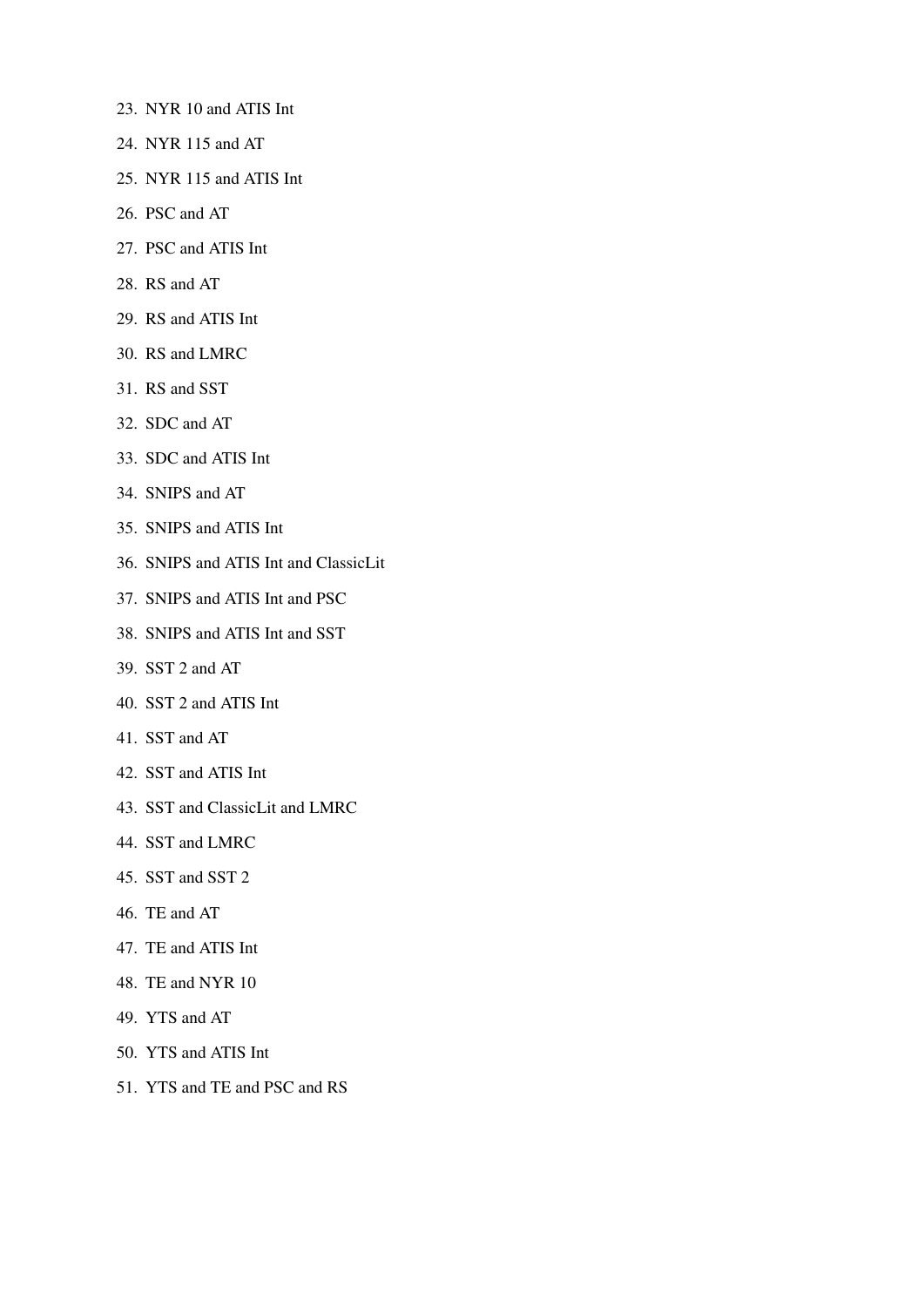- 23. NYR 10 and ATIS Int
- 24. NYR 115 and AT
- 25. NYR 115 and ATIS Int
- 26. PSC and AT
- 27. PSC and ATIS Int
- 28. RS and AT
- 29. RS and ATIS Int
- 30. RS and LMRC
- 31. RS and SST
- 32. SDC and AT
- 33. SDC and ATIS Int
- 34. SNIPS and AT
- 35. SNIPS and ATIS Int
- 36. SNIPS and ATIS Int and ClassicLit
- 37. SNIPS and ATIS Int and PSC
- 38. SNIPS and ATIS Int and SST
- 39. SST 2 and AT
- 40. SST 2 and ATIS Int
- 41. SST and AT
- 42. SST and ATIS Int
- 43. SST and ClassicLit and LMRC
- 44. SST and LMRC
- 45. SST and SST 2
- 46. TE and AT
- 47. TE and ATIS Int
- 48. TE and NYR 10
- 49. YTS and AT
- 50. YTS and ATIS Int
- 51. YTS and TE and PSC and RS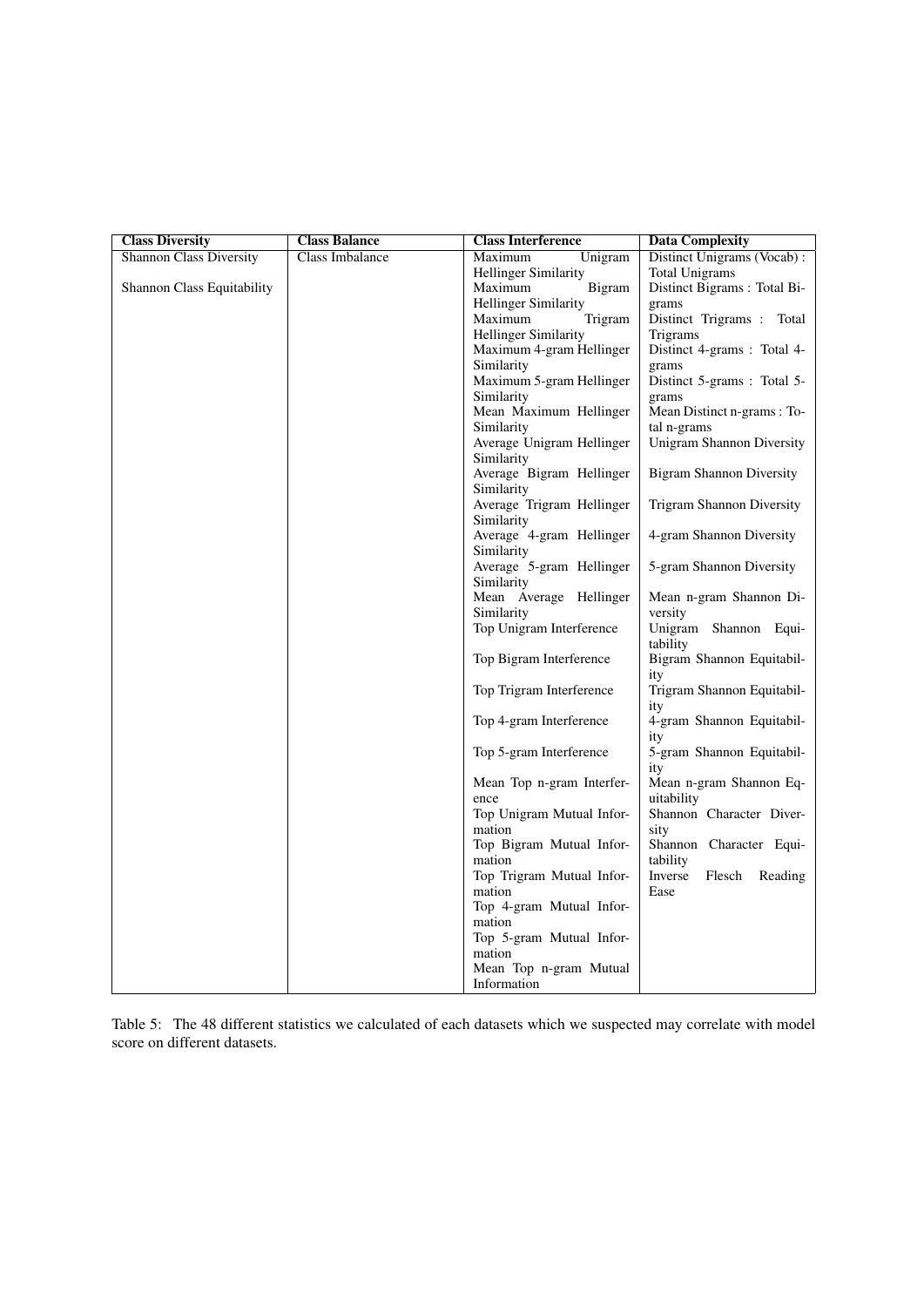| <b>Class Diversity</b>         | <b>Class Balance</b> | <b>Class Interference</b>               | <b>Data Complexity</b>                   |
|--------------------------------|----------------------|-----------------------------------------|------------------------------------------|
| <b>Shannon Class Diversity</b> | Class Imbalance      | Maximum<br>Unigram                      | Distinct Unigrams (Vocab):               |
|                                |                      | <b>Hellinger Similarity</b>             | <b>Total Unigrams</b>                    |
| Shannon Class Equitability     |                      | Bigram<br>Maximum                       | Distinct Bigrams: Total Bi-              |
|                                |                      | <b>Hellinger Similarity</b>             | grams                                    |
|                                |                      | Maximum<br>Trigram                      | Distinct Trigrams : Total                |
|                                |                      | <b>Hellinger Similarity</b>             | Trigrams                                 |
|                                |                      | Maximum 4-gram Hellinger                | Distinct 4-grams : Total 4-              |
|                                |                      | Similarity                              | grams                                    |
|                                |                      | Maximum 5-gram Hellinger                | Distinct 5-grams : Total 5-              |
|                                |                      | Similarity                              | grams                                    |
|                                |                      | Mean Maximum Hellinger                  | Mean Distinct n-grams : To-              |
|                                |                      | Similarity                              | tal n-grams<br>Unigram Shannon Diversity |
|                                |                      | Average Unigram Hellinger<br>Similarity |                                          |
|                                |                      | Average Bigram Hellinger                | <b>Bigram Shannon Diversity</b>          |
|                                |                      | Similarity                              |                                          |
|                                |                      | Average Trigram Hellinger               | Trigram Shannon Diversity                |
|                                |                      | Similarity                              |                                          |
|                                |                      | Average 4-gram Hellinger                | 4-gram Shannon Diversity                 |
|                                |                      | Similarity                              |                                          |
|                                |                      | Average 5-gram Hellinger                | 5-gram Shannon Diversity                 |
|                                |                      | Similarity                              |                                          |
|                                |                      | Mean Average Hellinger                  | Mean n-gram Shannon Di-                  |
|                                |                      | Similarity                              | versity                                  |
|                                |                      | Top Unigram Interference                | Unigram Shannon Equi-<br>tability        |
|                                |                      | Top Bigram Interference                 | Bigram Shannon Equitabil-                |
|                                |                      |                                         | ity                                      |
|                                |                      | Top Trigram Interference                | Trigram Shannon Equitabil-               |
|                                |                      |                                         | ity                                      |
|                                |                      | Top 4-gram Interference                 | 4-gram Shannon Equitabil-                |
|                                |                      |                                         | ity                                      |
|                                |                      | Top 5-gram Interference                 | 5-gram Shannon Equitabil-                |
|                                |                      | Mean Top n-gram Interfer-               | ity<br>Mean n-gram Shannon Eq-           |
|                                |                      | ence                                    | uitability                               |
|                                |                      | Top Unigram Mutual Infor-               | Shannon Character Diver-                 |
|                                |                      | mation                                  | sity                                     |
|                                |                      | Top Bigram Mutual Infor-                | Shannon Character Equi-                  |
|                                |                      | mation                                  | tability                                 |
|                                |                      | Top Trigram Mutual Infor-               | Inverse<br>Flesch<br>Reading             |
|                                |                      | mation                                  | Ease                                     |
|                                |                      | Top 4-gram Mutual Infor-                |                                          |
|                                |                      | mation                                  |                                          |
|                                |                      | Top 5-gram Mutual Infor-                |                                          |
|                                |                      | mation                                  |                                          |
|                                |                      | Mean Top n-gram Mutual                  |                                          |
|                                |                      | Information                             |                                          |

<span id="page-16-0"></span>Table 5: The 48 different statistics we calculated of each datasets which we suspected may correlate with model score on different datasets.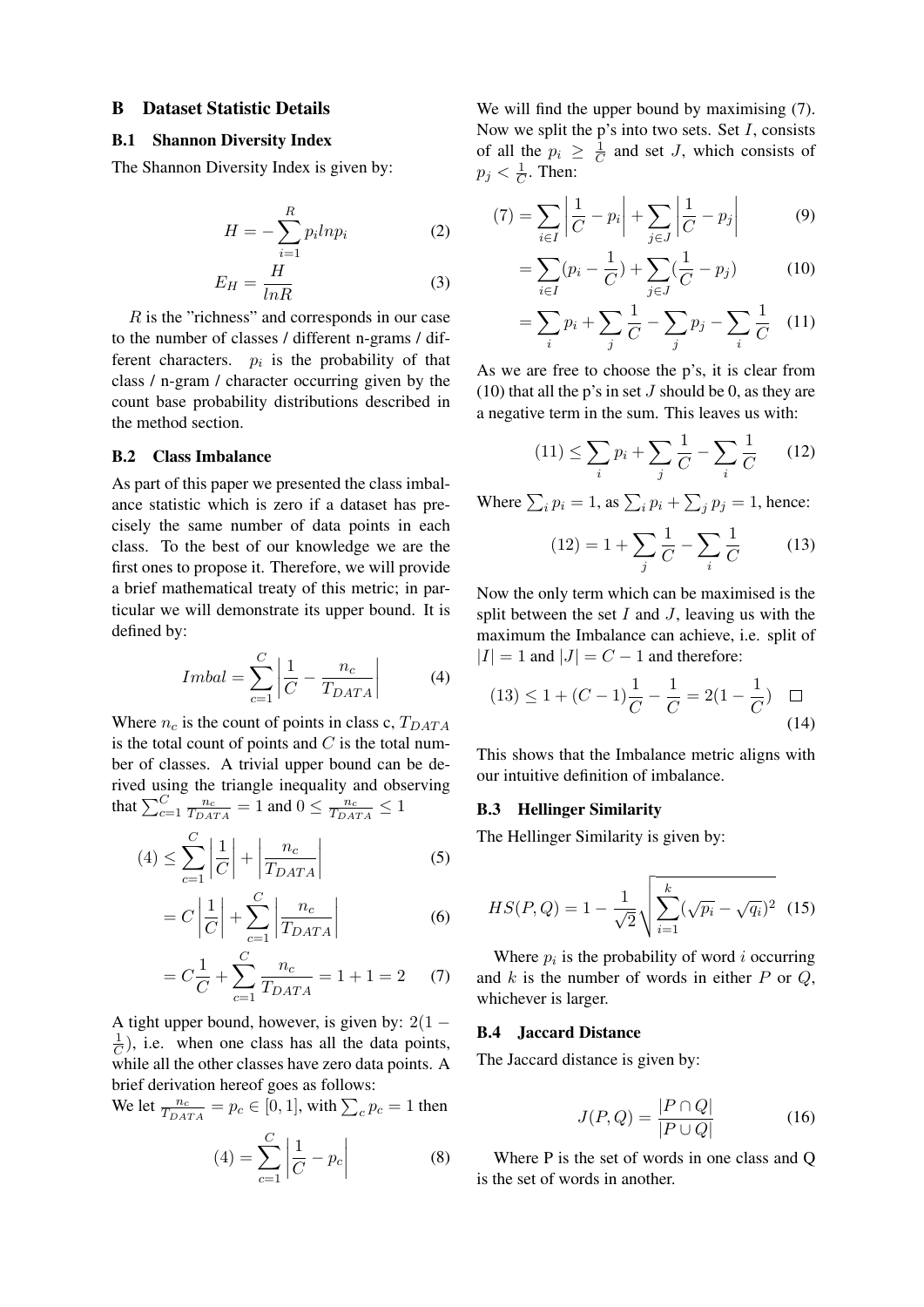#### <span id="page-17-0"></span>B Dataset Statistic Details

# B.1 Shannon Diversity Index

The Shannon Diversity Index is given by:

$$
H = -\sum_{i=1}^{R} p_i l n p_i \tag{2}
$$

$$
E_H = \frac{H}{lnR} \tag{3}
$$

R is the "richness" and corresponds in our case to the number of classes / different n-grams / different characters.  $p_i$  is the probability of that class / n-gram / character occurring given by the count base probability distributions described in the method section.

#### <span id="page-17-1"></span>B.2 Class Imbalance

As part of this paper we presented the class imbalance statistic which is zero if a dataset has precisely the same number of data points in each class. To the best of our knowledge we are the first ones to propose it. Therefore, we will provide a brief mathematical treaty of this metric; in particular we will demonstrate its upper bound. It is defined by:

$$
Imbal = \sum_{c=1}^{C} \left| \frac{1}{C} - \frac{n_c}{T_{DATA}} \right| \tag{4}
$$

Where  $n_c$  is the count of points in class c,  $T_{DATA}$ is the total count of points and  $C$  is the total number of classes. A trivial upper bound can be derived using the triangle inequality and observing that  $\sum_{c=1}^{C} \frac{n_c}{T_{DA}}$  $\frac{n_c}{T_{DATA}} = 1$  and  $0 \leq \frac{n_c}{T_{DATA}}$  $\frac{n_c}{T_{DATA}} \leq 1$ 

$$
(4) \leq \sum_{c=1}^{C} \left| \frac{1}{C} \right| + \left| \frac{n_c}{T_{DATA}} \right| \tag{5}
$$

$$
= C \left| \frac{1}{C} \right| + \sum_{c=1}^{C} \left| \frac{n_c}{T_{DATA}} \right| \tag{6}
$$

$$
= C\frac{1}{C} + \sum_{c=1}^{C} \frac{n_c}{T_{DATA}} = 1 + 1 = 2 \tag{7}
$$

A tight upper bound, however, is given by:  $2(1 -$ 1  $(\frac{1}{C})$ , i.e. when one class has all the data points, while all the other classes have zero data points. A brief derivation hereof goes as follows:

We let  $\frac{n_c}{T_{DATA}} = p_c \in [0, 1]$ , with  $\sum_c p_c = 1$  then

$$
(4) = \sum_{c=1}^{C} \left| \frac{1}{C} - p_c \right|
$$
 (8)

We will find the upper bound by maximising  $(7)$ . Now we split the p's into two sets. Set  $I$ , consists of all the  $p_i \geq \frac{1}{C}$  $\frac{1}{C}$  and set J, which consists of  $p_j < \frac{1}{C}$  $\frac{1}{C}$ . Then:

$$
(7) = \sum_{i \in I} \left| \frac{1}{C} - p_i \right| + \sum_{j \in J} \left| \frac{1}{C} - p_j \right| \tag{9}
$$

=

=

$$
= \sum_{i \in I} (p_i - \frac{1}{C}) + \sum_{j \in J} (\frac{1}{C} - p_j)
$$
 (10)

$$
= \sum_{i} p_i + \sum_{j} \frac{1}{C} - \sum_{j} p_j - \sum_{i} \frac{1}{C} \quad (11)
$$

As we are free to choose the p's, it is clear from (10) that all the p's in set  $J$  should be 0, as they are a negative term in the sum. This leaves us with:

$$
(11) \le \sum_{i} p_i + \sum_{j} \frac{1}{C} - \sum_{i} \frac{1}{C} \qquad (12)
$$

Where  $\sum_i p_i = 1$ , as  $\sum_i p_i + \sum_j p_j = 1$ , hence:

$$
(12) = 1 + \sum_{j} \frac{1}{C} - \sum_{i} \frac{1}{C}
$$
 (13)

Now the only term which can be maximised is the split between the set  $I$  and  $J$ , leaving us with the maximum the Imbalance can achieve, i.e. split of  $|I| = 1$  and  $|J| = C - 1$  and therefore:

$$
(13) \le 1 + (C - 1)\frac{1}{C} - \frac{1}{C} = 2(1 - \frac{1}{C}) \quad \Box
$$
\n<sup>(14)</sup>

This shows that the Imbalance metric aligns with our intuitive definition of imbalance.

#### B.3 Hellinger Similarity

The Hellinger Similarity is given by:

$$
HS(P,Q) = 1 - \frac{1}{\sqrt{2}} \sqrt{\sum_{i=1}^{k} (\sqrt{p_i} - \sqrt{q_i})^2}
$$
 (15)

Where  $p_i$  is the probability of word i occurring and  $k$  is the number of words in either  $P$  or  $Q$ , whichever is larger.

### B.4 Jaccard Distance

The Jaccard distance is given by:

$$
J(P,Q) = \frac{|P \cap Q|}{|P \cup Q|} \tag{16}
$$

Where P is the set of words in one class and Q is the set of words in another.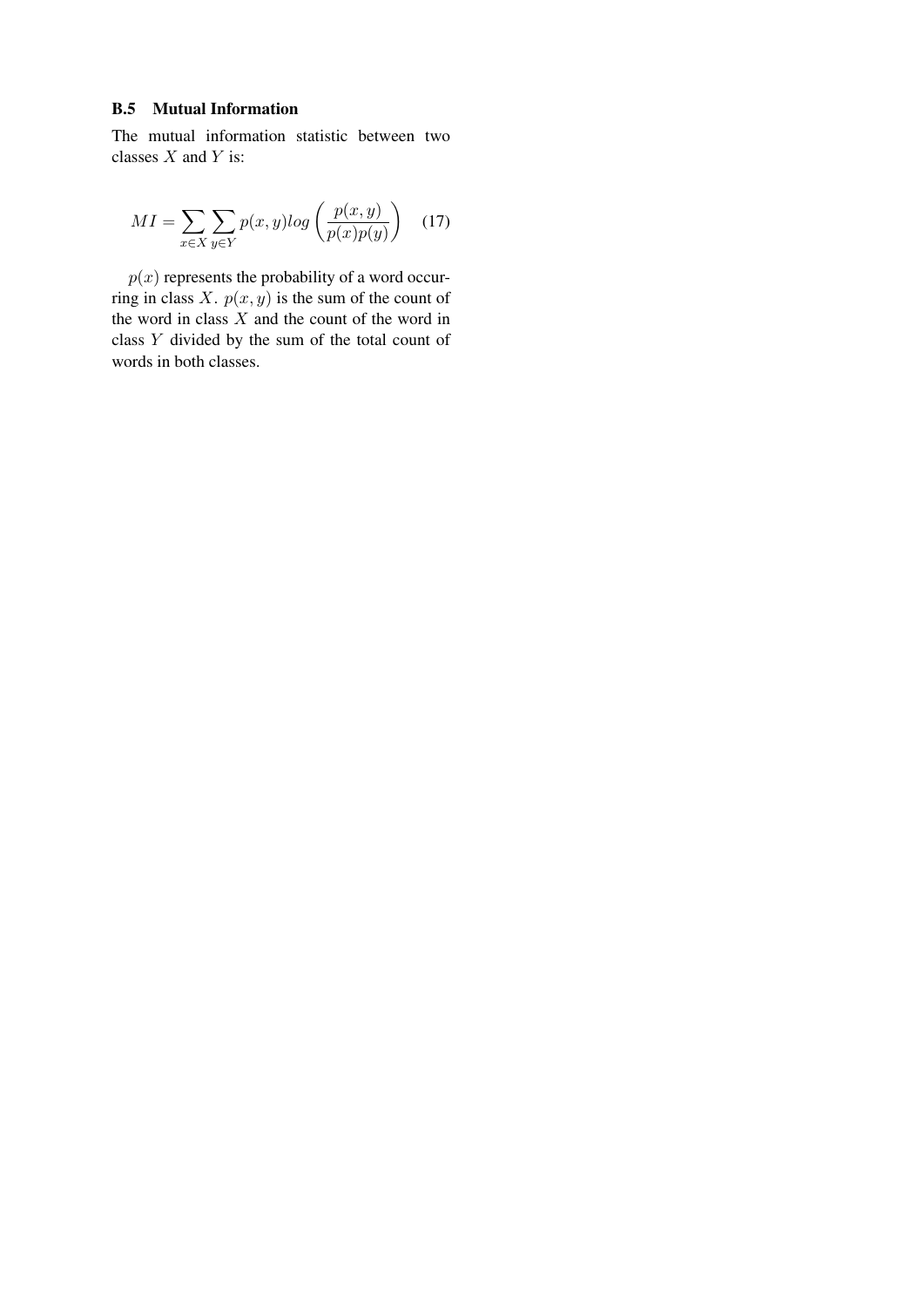### B.5 Mutual Information

The mutual information statistic between two classes  $X$  and  $Y$  is:

$$
MI = \sum_{x \in X} \sum_{y \in Y} p(x, y) \log \left( \frac{p(x, y)}{p(x)p(y)} \right) \quad (17)
$$

 $p(x)$  represents the probability of a word occurring in class  $X$ .  $p(x, y)$  is the sum of the count of the word in class X and the count of the word in class Y divided by the sum of the total count of words in both classes.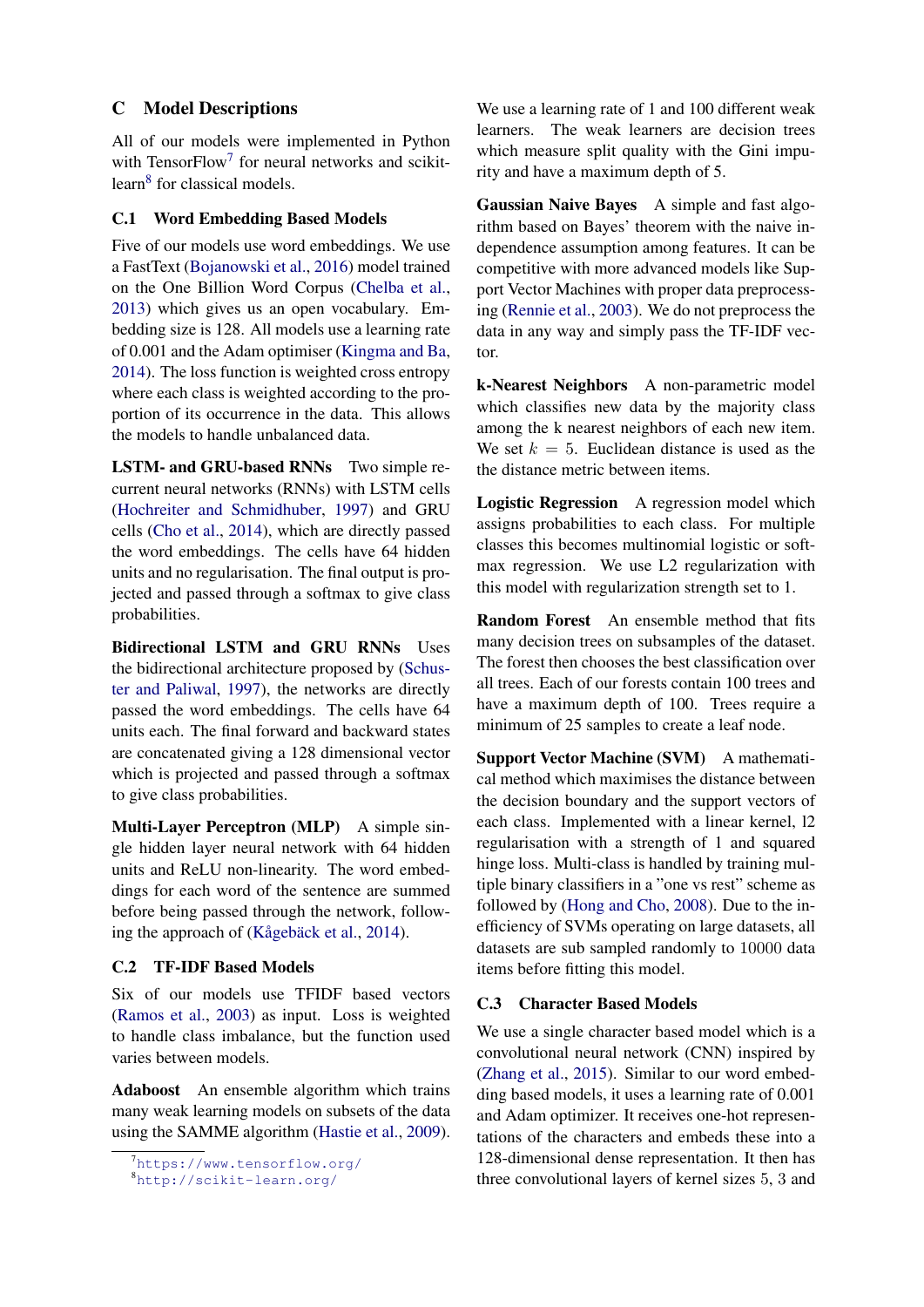# <span id="page-19-0"></span>C Model Descriptions

All of our models were implemented in Python with Tensor $Flow<sup>7</sup>$  $Flow<sup>7</sup>$  $Flow<sup>7</sup>$  for neural networks and scikit-learn<sup>[8](#page-19-2)</sup> for classical models.

# C.1 Word Embedding Based Models

Five of our models use word embeddings. We use a FastText [\(Bojanowski et al.,](#page-9-19) [2016\)](#page-9-19) model trained on the One Billion Word Corpus [\(Chelba et al.,](#page-9-20) [2013\)](#page-9-20) which gives us an open vocabulary. Embedding size is 128. All models use a learning rate of 0.001 and the Adam optimiser [\(Kingma and Ba,](#page-10-20) [2014\)](#page-10-20). The loss function is weighted cross entropy where each class is weighted according to the proportion of its occurrence in the data. This allows the models to handle unbalanced data.

LSTM- and GRU-based RNNs Two simple recurrent neural networks (RNNs) with LSTM cells [\(Hochreiter and Schmidhuber,](#page-10-21) [1997\)](#page-10-21) and GRU cells [\(Cho et al.,](#page-9-24) [2014\)](#page-9-24), which are directly passed the word embeddings. The cells have 64 hidden units and no regularisation. The final output is projected and passed through a softmax to give class probabilities.

Bidirectional LSTM and GRU RNNs Uses the bidirectional architecture proposed by [\(Schus](#page-11-12)[ter and Paliwal,](#page-11-12) [1997\)](#page-11-12), the networks are directly passed the word embeddings. The cells have 64 units each. The final forward and backward states are concatenated giving a 128 dimensional vector which is projected and passed through a softmax to give class probabilities.

Multi-Layer Perceptron (MLP) A simple single hidden layer neural network with 64 hidden units and ReLU non-linearity. The word embeddings for each word of the sentence are summed before being passed through the network, following the approach of (Kågebäck et al.,  $2014$ ).

# C.2 TF-IDF Based Models

Six of our models use TFIDF based vectors [\(Ramos et al.,](#page-10-15) [2003\)](#page-10-15) as input. Loss is weighted to handle class imbalance, but the function used varies between models.

Adaboost An ensemble algorithm which trains many weak learning models on subsets of the data using the SAMME algorithm [\(Hastie et al.,](#page-9-25) [2009\)](#page-9-25).

We use a learning rate of 1 and 100 different weak learners. The weak learners are decision trees which measure split quality with the Gini impurity and have a maximum depth of 5.

Gaussian Naive Bayes A simple and fast algorithm based on Bayes' theorem with the naive independence assumption among features. It can be competitive with more advanced models like Support Vector Machines with proper data preprocessing [\(Rennie et al.,](#page-10-23) [2003\)](#page-10-23). We do not preprocess the data in any way and simply pass the TF-IDF vector.

k-Nearest Neighbors A non-parametric model which classifies new data by the majority class among the k nearest neighbors of each new item. We set  $k = 5$ . Euclidean distance is used as the the distance metric between items.

Logistic Regression A regression model which assigns probabilities to each class. For multiple classes this becomes multinomial logistic or softmax regression. We use L2 regularization with this model with regularization strength set to 1.

Random Forest An ensemble method that fits many decision trees on subsamples of the dataset. The forest then chooses the best classification over all trees. Each of our forests contain 100 trees and have a maximum depth of 100. Trees require a minimum of 25 samples to create a leaf node.

Support Vector Machine (SVM) A mathematical method which maximises the distance between the decision boundary and the support vectors of each class. Implemented with a linear kernel, l2 regularisation with a strength of 1 and squared hinge loss. Multi-class is handled by training multiple binary classifiers in a "one vs rest" scheme as followed by [\(Hong and Cho,](#page-10-24) [2008\)](#page-10-24). Due to the inefficiency of SVMs operating on large datasets, all datasets are sub sampled randomly to 10000 data items before fitting this model.

### C.3 Character Based Models

We use a single character based model which is a convolutional neural network (CNN) inspired by [\(Zhang et al.,](#page-11-0) [2015\)](#page-11-0). Similar to our word embedding based models, it uses a learning rate of 0.001 and Adam optimizer. It receives one-hot representations of the characters and embeds these into a 128-dimensional dense representation. It then has three convolutional layers of kernel sizes 5, 3 and

<span id="page-19-1"></span><sup>7</sup><https://www.tensorflow.org/>

<span id="page-19-2"></span><sup>8</sup><http://scikit-learn.org/>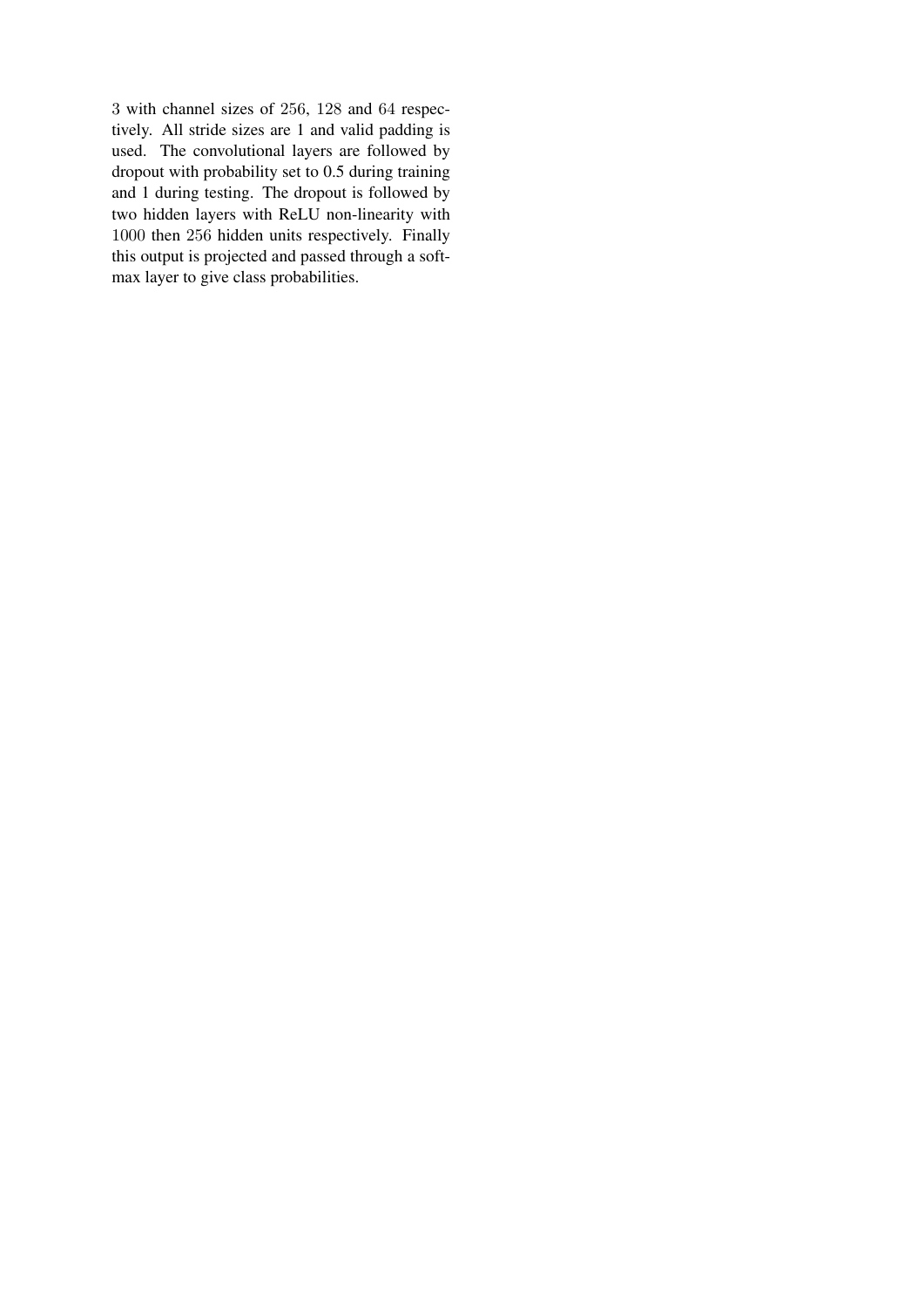3 with channel sizes of 256, 128 and 64 respectively. All stride sizes are 1 and valid padding is used. The convolutional layers are followed by dropout with probability set to 0.5 during training and 1 during testing. The dropout is followed by two hidden layers with ReLU non-linearity with 1000 then 256 hidden units respectively. Finally this output is projected and passed through a softmax layer to give class probabilities.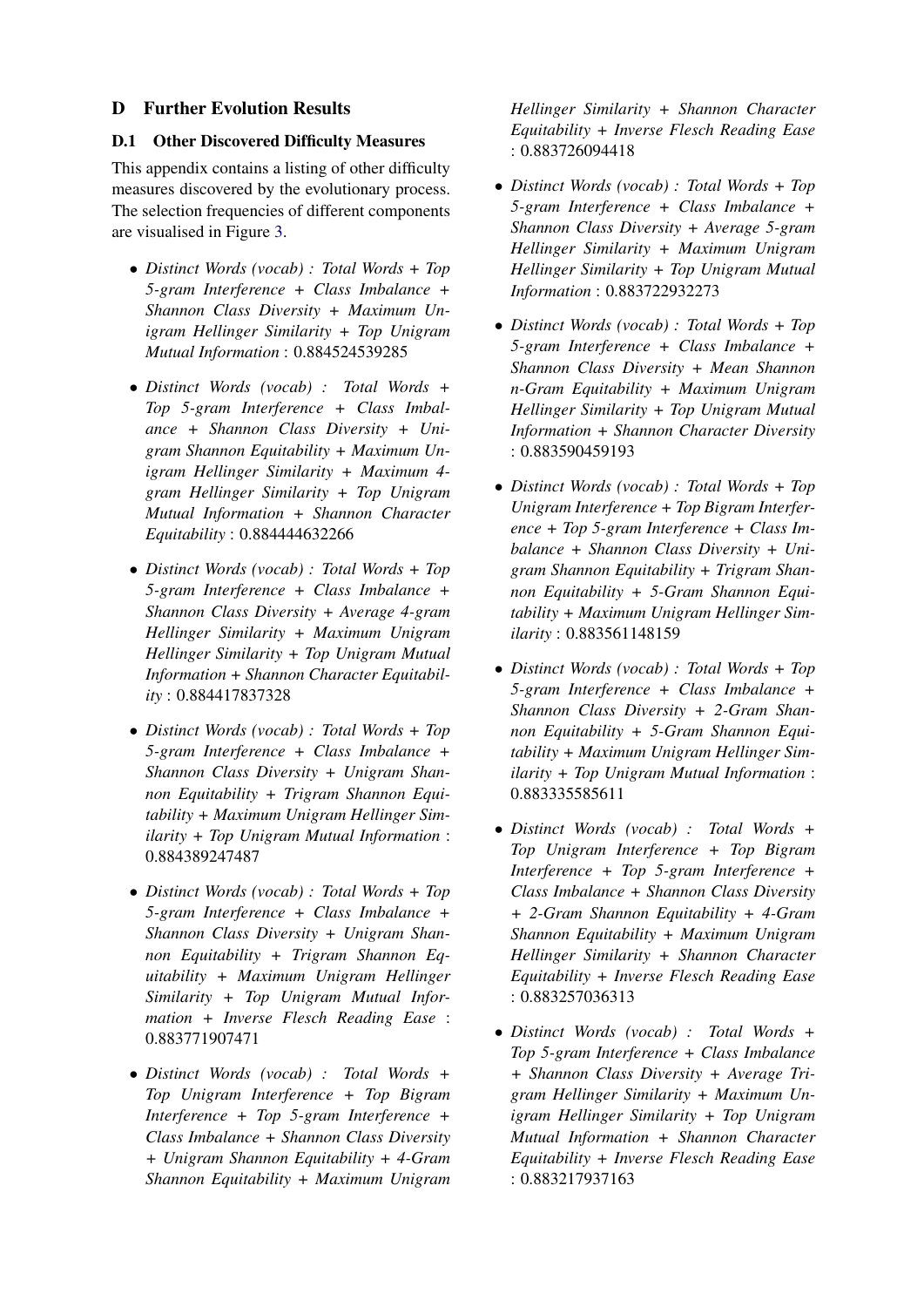# <span id="page-21-0"></span>D Further Evolution Results

# D.1 Other Discovered Difficulty Measures

This appendix contains a listing of other difficulty measures discovered by the evolutionary process. The selection frequencies of different components are visualised in Figure [3.](#page-22-0)

- *Distinct Words (vocab) : Total Words + Top 5-gram Interference + Class Imbalance + Shannon Class Diversity + Maximum Unigram Hellinger Similarity + Top Unigram Mutual Information* : 0.884524539285
- *Distinct Words (vocab) : Total Words + Top 5-gram Interference + Class Imbalance + Shannon Class Diversity + Unigram Shannon Equitability + Maximum Unigram Hellinger Similarity + Maximum 4 gram Hellinger Similarity + Top Unigram Mutual Information + Shannon Character Equitability* : 0.884444632266
- *Distinct Words (vocab) : Total Words + Top 5-gram Interference + Class Imbalance + Shannon Class Diversity + Average 4-gram Hellinger Similarity + Maximum Unigram Hellinger Similarity + Top Unigram Mutual Information + Shannon Character Equitability* : 0.884417837328
- *Distinct Words (vocab) : Total Words + Top 5-gram Interference + Class Imbalance + Shannon Class Diversity + Unigram Shannon Equitability + Trigram Shannon Equitability + Maximum Unigram Hellinger Similarity + Top Unigram Mutual Information* : 0.884389247487
- *Distinct Words (vocab) : Total Words + Top 5-gram Interference + Class Imbalance + Shannon Class Diversity + Unigram Shannon Equitability + Trigram Shannon Equitability + Maximum Unigram Hellinger Similarity + Top Unigram Mutual Information + Inverse Flesch Reading Ease* : 0.883771907471
- *Distinct Words (vocab) : Total Words + Top Unigram Interference + Top Bigram Interference + Top 5-gram Interference + Class Imbalance + Shannon Class Diversity + Unigram Shannon Equitability + 4-Gram Shannon Equitability + Maximum Unigram*

*Hellinger Similarity + Shannon Character Equitability + Inverse Flesch Reading Ease* : 0.883726094418

- *Distinct Words (vocab) : Total Words + Top 5-gram Interference + Class Imbalance + Shannon Class Diversity + Average 5-gram Hellinger Similarity + Maximum Unigram Hellinger Similarity + Top Unigram Mutual Information* : 0.883722932273
- *Distinct Words (vocab) : Total Words + Top 5-gram Interference + Class Imbalance + Shannon Class Diversity + Mean Shannon n-Gram Equitability + Maximum Unigram Hellinger Similarity + Top Unigram Mutual Information + Shannon Character Diversity* : 0.883590459193
- *Distinct Words (vocab) : Total Words + Top Unigram Interference + Top Bigram Interference + Top 5-gram Interference + Class Imbalance + Shannon Class Diversity + Unigram Shannon Equitability + Trigram Shannon Equitability + 5-Gram Shannon Equitability + Maximum Unigram Hellinger Similarity* : 0.883561148159
- *Distinct Words (vocab) : Total Words + Top 5-gram Interference + Class Imbalance + Shannon Class Diversity + 2-Gram Shannon Equitability + 5-Gram Shannon Equitability + Maximum Unigram Hellinger Similarity + Top Unigram Mutual Information* : 0.883335585611
- *Distinct Words (vocab) : Total Words + Top Unigram Interference + Top Bigram Interference + Top 5-gram Interference + Class Imbalance + Shannon Class Diversity + 2-Gram Shannon Equitability + 4-Gram Shannon Equitability + Maximum Unigram Hellinger Similarity + Shannon Character Equitability + Inverse Flesch Reading Ease* : 0.883257036313
- *Distinct Words (vocab) : Total Words + Top 5-gram Interference + Class Imbalance + Shannon Class Diversity + Average Trigram Hellinger Similarity + Maximum Unigram Hellinger Similarity + Top Unigram Mutual Information + Shannon Character Equitability + Inverse Flesch Reading Ease* : 0.883217937163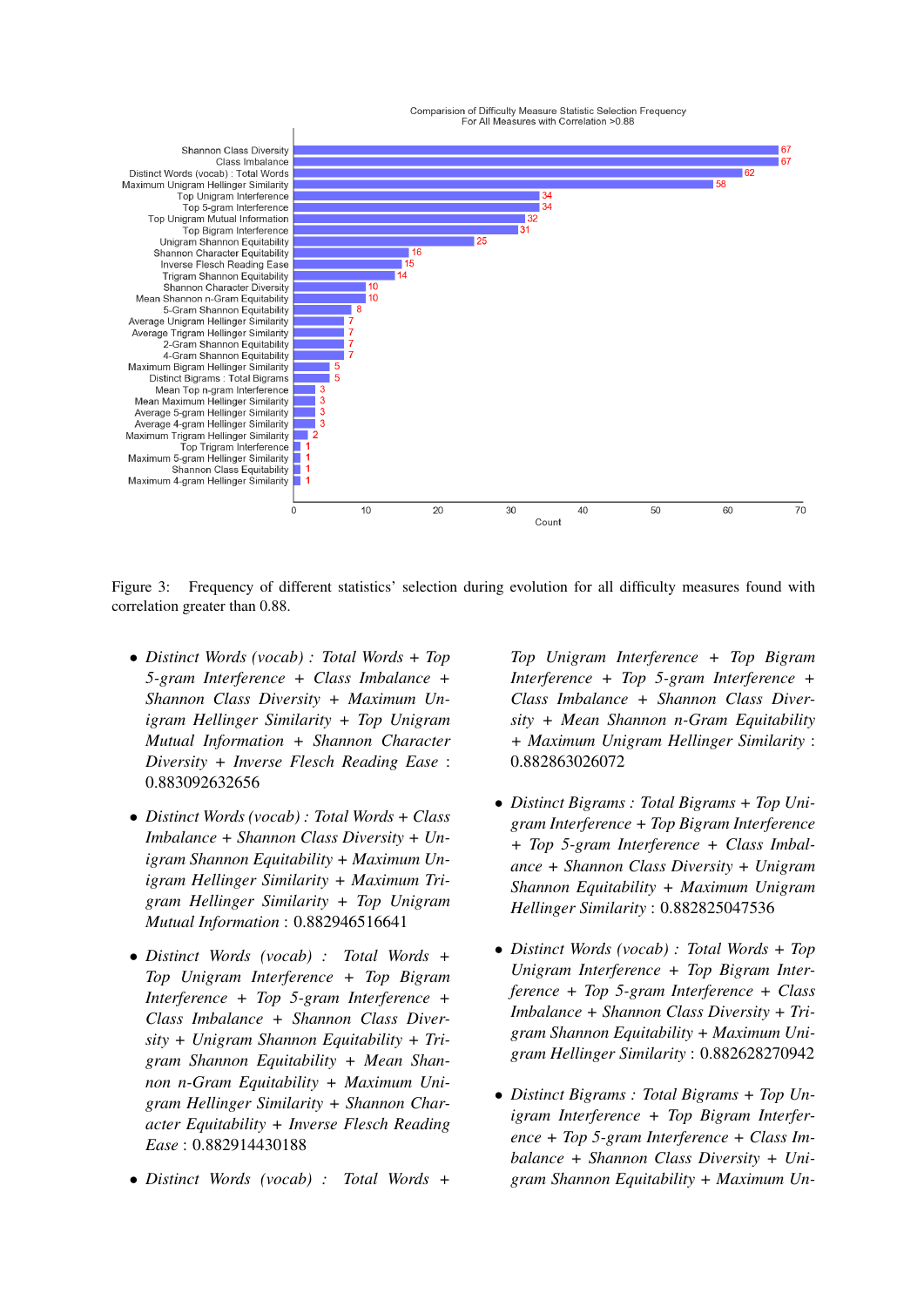

<span id="page-22-0"></span>Figure 3: Frequency of different statistics' selection during evolution for all difficulty measures found with correlation greater than 0.88.

- *Distinct Words (vocab) : Total Words + Top 5-gram Interference + Class Imbalance + Shannon Class Diversity + Maximum Unigram Hellinger Similarity + Top Unigram Mutual Information + Shannon Character Diversity + Inverse Flesch Reading Ease* : 0.883092632656
- *Distinct Words (vocab) : Total Words + Class Imbalance + Shannon Class Diversity + Unigram Shannon Equitability + Maximum Unigram Hellinger Similarity + Maximum Trigram Hellinger Similarity + Top Unigram Mutual Information* : 0.882946516641
- *Distinct Words (vocab) : Total Words + Top Unigram Interference + Top Bigram Interference + Top 5-gram Interference + Class Imbalance + Shannon Class Diversity + Unigram Shannon Equitability + Trigram Shannon Equitability + Mean Shannon n-Gram Equitability + Maximum Unigram Hellinger Similarity + Shannon Character Equitability + Inverse Flesch Reading Ease* : 0.882914430188
- *Distinct Words (vocab) : Total Words +*

*Top Unigram Interference + Top Bigram Interference + Top 5-gram Interference + Class Imbalance + Shannon Class Diversity + Mean Shannon n-Gram Equitability + Maximum Unigram Hellinger Similarity* : 0.882863026072

- *Distinct Bigrams : Total Bigrams + Top Unigram Interference + Top Bigram Interference + Top 5-gram Interference + Class Imbalance + Shannon Class Diversity + Unigram Shannon Equitability + Maximum Unigram Hellinger Similarity* : 0.882825047536
- *Distinct Words (vocab) : Total Words + Top Unigram Interference + Top Bigram Interference + Top 5-gram Interference + Class Imbalance + Shannon Class Diversity + Trigram Shannon Equitability + Maximum Unigram Hellinger Similarity* : 0.882628270942
- *Distinct Bigrams : Total Bigrams + Top Unigram Interference + Top Bigram Interference + Top 5-gram Interference + Class Imbalance + Shannon Class Diversity + Unigram Shannon Equitability + Maximum Un-*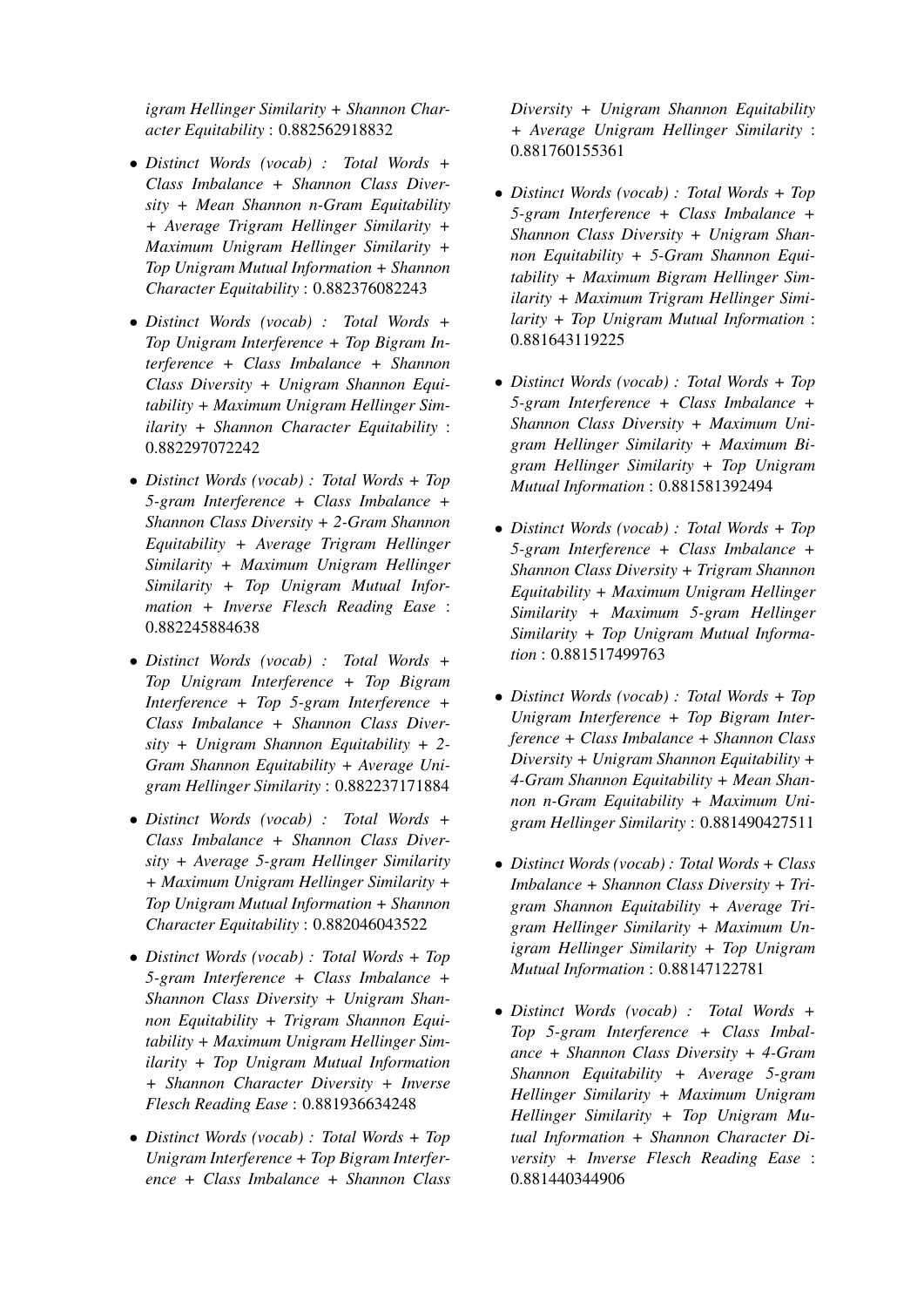*igram Hellinger Similarity + Shannon Character Equitability* : 0.882562918832

- *Distinct Words (vocab) : Total Words + Class Imbalance + Shannon Class Diversity + Mean Shannon n-Gram Equitability + Average Trigram Hellinger Similarity + Maximum Unigram Hellinger Similarity + Top Unigram Mutual Information + Shannon Character Equitability* : 0.882376082243
- *Distinct Words (vocab) : Total Words + Top Unigram Interference + Top Bigram Interference + Class Imbalance + Shannon Class Diversity + Unigram Shannon Equitability + Maximum Unigram Hellinger Similarity + Shannon Character Equitability* : 0.882297072242
- *Distinct Words (vocab) : Total Words + Top 5-gram Interference + Class Imbalance + Shannon Class Diversity + 2-Gram Shannon Equitability + Average Trigram Hellinger Similarity + Maximum Unigram Hellinger Similarity + Top Unigram Mutual Information + Inverse Flesch Reading Ease* : 0.882245884638
- *Distinct Words (vocab) : Total Words + Top Unigram Interference + Top Bigram Interference + Top 5-gram Interference + Class Imbalance + Shannon Class Diversity + Unigram Shannon Equitability + 2- Gram Shannon Equitability + Average Unigram Hellinger Similarity* : 0.882237171884
- *Distinct Words (vocab) : Total Words + Class Imbalance + Shannon Class Diversity + Average 5-gram Hellinger Similarity + Maximum Unigram Hellinger Similarity + Top Unigram Mutual Information + Shannon Character Equitability* : 0.882046043522
- *Distinct Words (vocab) : Total Words + Top 5-gram Interference + Class Imbalance + Shannon Class Diversity + Unigram Shannon Equitability + Trigram Shannon Equitability + Maximum Unigram Hellinger Similarity + Top Unigram Mutual Information + Shannon Character Diversity + Inverse Flesch Reading Ease* : 0.881936634248
- *Distinct Words (vocab) : Total Words + Top Unigram Interference + Top Bigram Interference + Class Imbalance + Shannon Class*

*Diversity + Unigram Shannon Equitability + Average Unigram Hellinger Similarity* : 0.881760155361

- *Distinct Words (vocab) : Total Words + Top 5-gram Interference + Class Imbalance + Shannon Class Diversity + Unigram Shannon Equitability + 5-Gram Shannon Equitability + Maximum Bigram Hellinger Similarity + Maximum Trigram Hellinger Similarity + Top Unigram Mutual Information* : 0.881643119225
- *Distinct Words (vocab) : Total Words + Top 5-gram Interference + Class Imbalance + Shannon Class Diversity + Maximum Unigram Hellinger Similarity + Maximum Bigram Hellinger Similarity + Top Unigram Mutual Information* : 0.881581392494
- *Distinct Words (vocab) : Total Words + Top 5-gram Interference + Class Imbalance + Shannon Class Diversity + Trigram Shannon Equitability + Maximum Unigram Hellinger Similarity + Maximum 5-gram Hellinger Similarity + Top Unigram Mutual Information* : 0.881517499763
- *Distinct Words (vocab) : Total Words + Top Unigram Interference + Top Bigram Interference + Class Imbalance + Shannon Class Diversity + Unigram Shannon Equitability + 4-Gram Shannon Equitability + Mean Shannon n-Gram Equitability + Maximum Unigram Hellinger Similarity* : 0.881490427511
- *Distinct Words (vocab) : Total Words + Class Imbalance + Shannon Class Diversity + Trigram Shannon Equitability + Average Trigram Hellinger Similarity + Maximum Unigram Hellinger Similarity + Top Unigram Mutual Information* : 0.88147122781
- *Distinct Words (vocab) : Total Words + Top 5-gram Interference + Class Imbalance + Shannon Class Diversity + 4-Gram Shannon Equitability + Average 5-gram Hellinger Similarity + Maximum Unigram Hellinger Similarity + Top Unigram Mutual Information + Shannon Character Diversity + Inverse Flesch Reading Ease* : 0.881440344906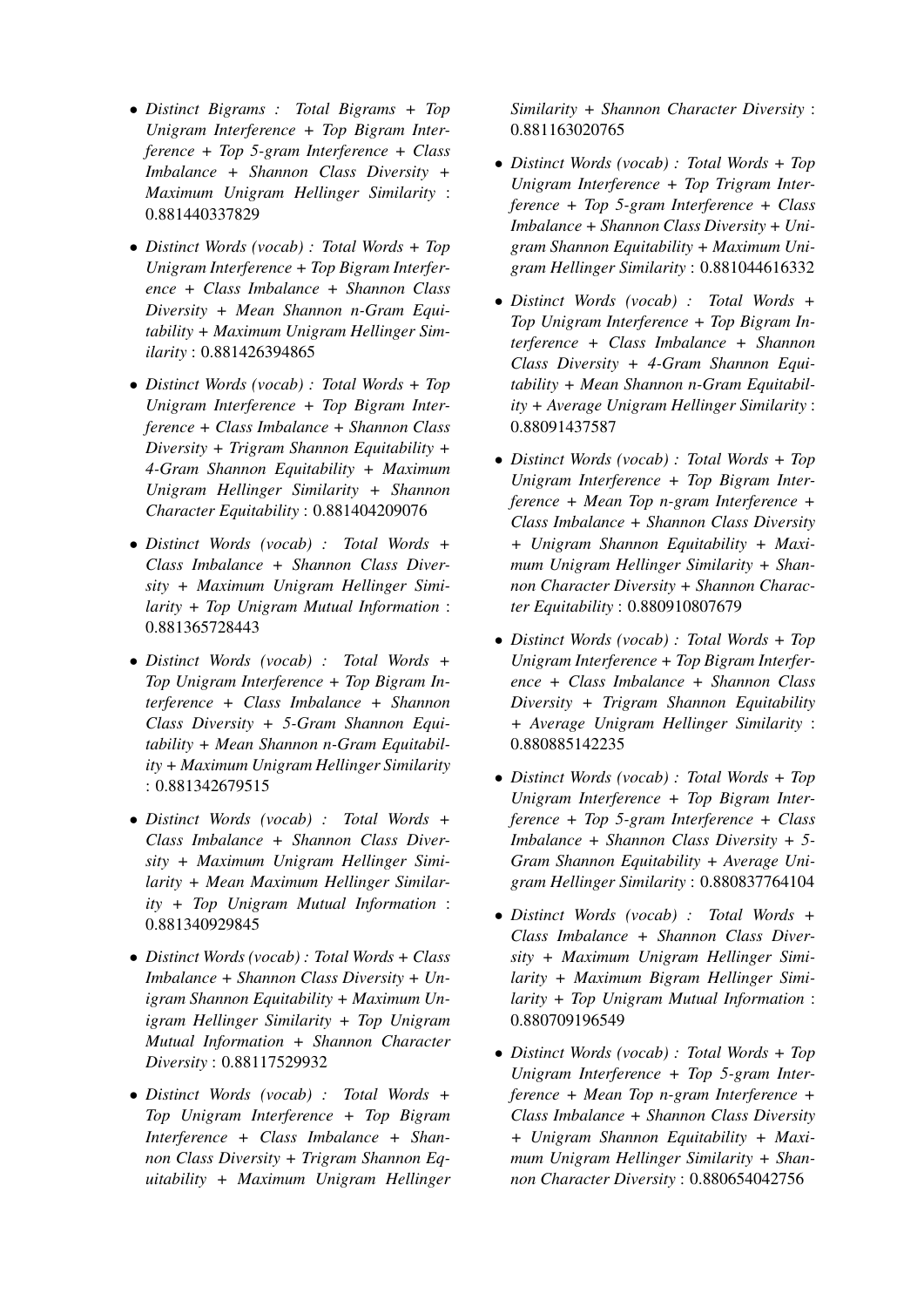- *Distinct Bigrams : Total Bigrams + Top Unigram Interference + Top Bigram Interference + Top 5-gram Interference + Class Imbalance + Shannon Class Diversity + Maximum Unigram Hellinger Similarity* : 0.881440337829
- *Distinct Words (vocab) : Total Words + Top Unigram Interference + Top Bigram Interference + Class Imbalance + Shannon Class Diversity + Mean Shannon n-Gram Equitability + Maximum Unigram Hellinger Similarity* : 0.881426394865
- *Distinct Words (vocab) : Total Words + Top Unigram Interference + Top Bigram Interference + Class Imbalance + Shannon Class Diversity + Trigram Shannon Equitability + 4-Gram Shannon Equitability + Maximum Unigram Hellinger Similarity + Shannon Character Equitability* : 0.881404209076
- *Distinct Words (vocab) : Total Words + Class Imbalance + Shannon Class Diversity + Maximum Unigram Hellinger Similarity + Top Unigram Mutual Information* : 0.881365728443
- *Distinct Words (vocab) : Total Words + Top Unigram Interference + Top Bigram Interference + Class Imbalance + Shannon Class Diversity + 5-Gram Shannon Equitability + Mean Shannon n-Gram Equitability + Maximum Unigram Hellinger Similarity* : 0.881342679515
- *Distinct Words (vocab) : Total Words + Class Imbalance + Shannon Class Diversity + Maximum Unigram Hellinger Similarity + Mean Maximum Hellinger Similarity + Top Unigram Mutual Information* : 0.881340929845
- *Distinct Words (vocab) : Total Words + Class Imbalance + Shannon Class Diversity + Unigram Shannon Equitability + Maximum Unigram Hellinger Similarity + Top Unigram Mutual Information + Shannon Character Diversity* : 0.88117529932
- *Distinct Words (vocab) : Total Words + Top Unigram Interference + Top Bigram Interference + Class Imbalance + Shannon Class Diversity + Trigram Shannon Equitability + Maximum Unigram Hellinger*

*Similarity + Shannon Character Diversity* : 0.881163020765

- *Distinct Words (vocab) : Total Words + Top Unigram Interference + Top Trigram Interference + Top 5-gram Interference + Class Imbalance + Shannon Class Diversity + Unigram Shannon Equitability + Maximum Unigram Hellinger Similarity* : 0.881044616332
- *Distinct Words (vocab) : Total Words + Top Unigram Interference + Top Bigram Interference + Class Imbalance + Shannon Class Diversity + 4-Gram Shannon Equitability + Mean Shannon n-Gram Equitability + Average Unigram Hellinger Similarity* : 0.88091437587
- *Distinct Words (vocab) : Total Words + Top Unigram Interference + Top Bigram Interference + Mean Top n-gram Interference + Class Imbalance + Shannon Class Diversity + Unigram Shannon Equitability + Maximum Unigram Hellinger Similarity + Shannon Character Diversity + Shannon Character Equitability* : 0.880910807679
- *Distinct Words (vocab) : Total Words + Top Unigram Interference + Top Bigram Interference + Class Imbalance + Shannon Class Diversity + Trigram Shannon Equitability + Average Unigram Hellinger Similarity* : 0.880885142235
- *Distinct Words (vocab) : Total Words + Top Unigram Interference + Top Bigram Interference + Top 5-gram Interference + Class Imbalance + Shannon Class Diversity + 5- Gram Shannon Equitability + Average Unigram Hellinger Similarity* : 0.880837764104
- *Distinct Words (vocab) : Total Words + Class Imbalance + Shannon Class Diversity + Maximum Unigram Hellinger Similarity + Maximum Bigram Hellinger Similarity + Top Unigram Mutual Information* : 0.880709196549
- *Distinct Words (vocab) : Total Words + Top Unigram Interference + Top 5-gram Interference + Mean Top n-gram Interference + Class Imbalance + Shannon Class Diversity + Unigram Shannon Equitability + Maximum Unigram Hellinger Similarity + Shannon Character Diversity* : 0.880654042756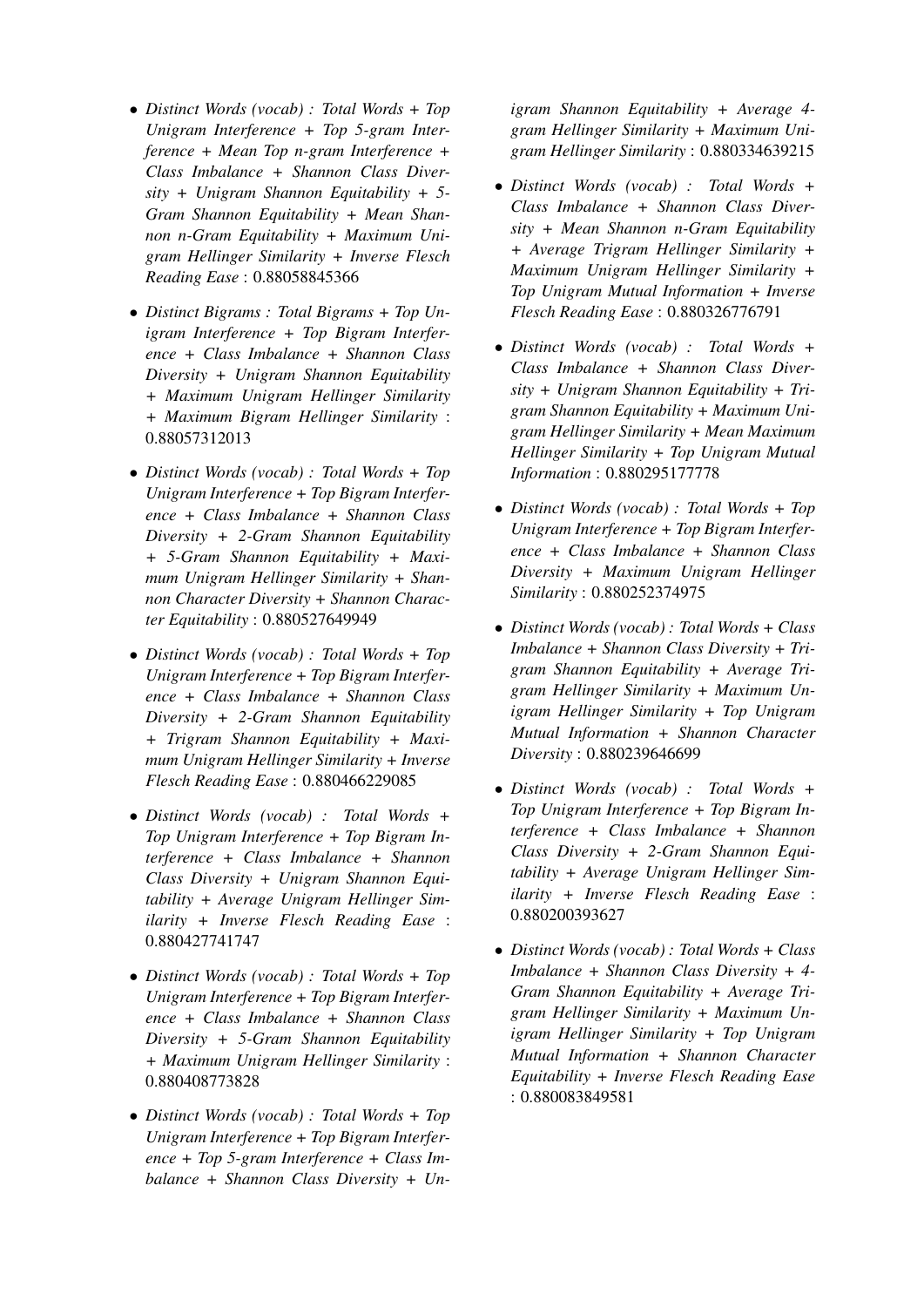- *Distinct Words (vocab) : Total Words + Top Unigram Interference + Top 5-gram Interference + Mean Top n-gram Interference + Class Imbalance + Shannon Class Diversity + Unigram Shannon Equitability + 5- Gram Shannon Equitability + Mean Shannon n-Gram Equitability + Maximum Unigram Hellinger Similarity + Inverse Flesch Reading Ease* : 0.88058845366
- *Distinct Bigrams : Total Bigrams + Top Unigram Interference + Top Bigram Interference + Class Imbalance + Shannon Class Diversity + Unigram Shannon Equitability + Maximum Unigram Hellinger Similarity + Maximum Bigram Hellinger Similarity* : 0.88057312013
- *Distinct Words (vocab) : Total Words + Top Unigram Interference + Top Bigram Interference + Class Imbalance + Shannon Class Diversity + 2-Gram Shannon Equitability + 5-Gram Shannon Equitability + Maximum Unigram Hellinger Similarity + Shannon Character Diversity + Shannon Character Equitability* : 0.880527649949
- *Distinct Words (vocab) : Total Words + Top Unigram Interference + Top Bigram Interference + Class Imbalance + Shannon Class Diversity + 2-Gram Shannon Equitability + Trigram Shannon Equitability + Maximum Unigram Hellinger Similarity + Inverse Flesch Reading Ease* : 0.880466229085
- *Distinct Words (vocab) : Total Words + Top Unigram Interference + Top Bigram Interference + Class Imbalance + Shannon Class Diversity + Unigram Shannon Equitability + Average Unigram Hellinger Similarity + Inverse Flesch Reading Ease* : 0.880427741747
- *Distinct Words (vocab) : Total Words + Top Unigram Interference + Top Bigram Interference + Class Imbalance + Shannon Class Diversity + 5-Gram Shannon Equitability + Maximum Unigram Hellinger Similarity* : 0.880408773828
- *Distinct Words (vocab) : Total Words + Top Unigram Interference + Top Bigram Interference + Top 5-gram Interference + Class Imbalance + Shannon Class Diversity + Un-*

*igram Shannon Equitability + Average 4 gram Hellinger Similarity + Maximum Unigram Hellinger Similarity* : 0.880334639215

- *Distinct Words (vocab) : Total Words + Class Imbalance + Shannon Class Diversity + Mean Shannon n-Gram Equitability + Average Trigram Hellinger Similarity + Maximum Unigram Hellinger Similarity + Top Unigram Mutual Information + Inverse Flesch Reading Ease* : 0.880326776791
- *Distinct Words (vocab) : Total Words + Class Imbalance + Shannon Class Diversity + Unigram Shannon Equitability + Trigram Shannon Equitability + Maximum Unigram Hellinger Similarity + Mean Maximum Hellinger Similarity + Top Unigram Mutual Information* : 0.880295177778
- *Distinct Words (vocab) : Total Words + Top Unigram Interference + Top Bigram Interference + Class Imbalance + Shannon Class Diversity + Maximum Unigram Hellinger Similarity* : 0.880252374975
- *Distinct Words (vocab) : Total Words + Class Imbalance + Shannon Class Diversity + Trigram Shannon Equitability + Average Trigram Hellinger Similarity + Maximum Unigram Hellinger Similarity + Top Unigram Mutual Information + Shannon Character Diversity* : 0.880239646699
- *Distinct Words (vocab) : Total Words + Top Unigram Interference + Top Bigram Interference + Class Imbalance + Shannon Class Diversity + 2-Gram Shannon Equitability + Average Unigram Hellinger Similarity + Inverse Flesch Reading Ease* : 0.880200393627
- *Distinct Words (vocab) : Total Words + Class Imbalance + Shannon Class Diversity + 4- Gram Shannon Equitability + Average Trigram Hellinger Similarity + Maximum Unigram Hellinger Similarity + Top Unigram Mutual Information + Shannon Character Equitability + Inverse Flesch Reading Ease* : 0.880083849581